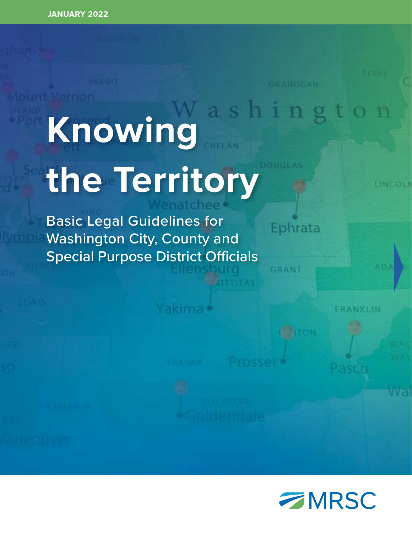# **Nint Vernon Knowing the Territory**

OKANOGAN

Ephrata

GRANT

Basic Legal Guidelines for Washington City, County and Special Purpose District Officials

*FRANKLIN* 

LINCOLI

**WEST** 

Yakima (

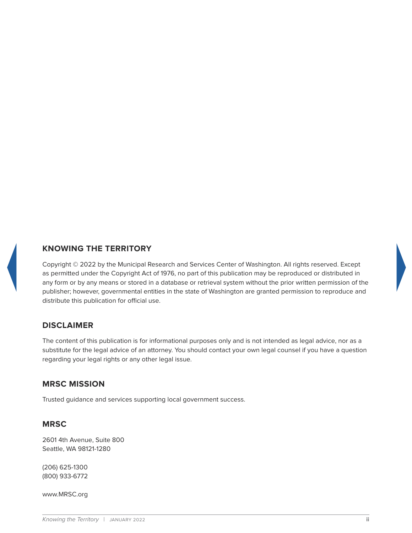

# **KNOWING THE TERRITORY**

Copyright © 2022 by the Municipal Research and Services Center of Washington. All rights reserved. Except as permitted under the Copyright Act of 1976, no part of this publication may be reproduced or distributed in any form or by any means or stored in a database or retrieval system without the prior written permission of the publisher; however, governmental entities in the state of Washington are granted permission to reproduce and distribute this publication for official use.

## **DISCLAIMER**

The content of this publication is for informational purposes only and is not intended as legal advice, nor as a substitute for the legal advice of an attorney. You should contact your own legal counsel if you have a question regarding your legal rights or any other legal issue.

## **MRSC MISSION**

Trusted guidance and services supporting local government success.

#### **MRSC**

2601 4th Avenue, Suite 800 Seattle, WA 98121-1280

(206) 625-1300 (800) 933-6772

www.MRSC.org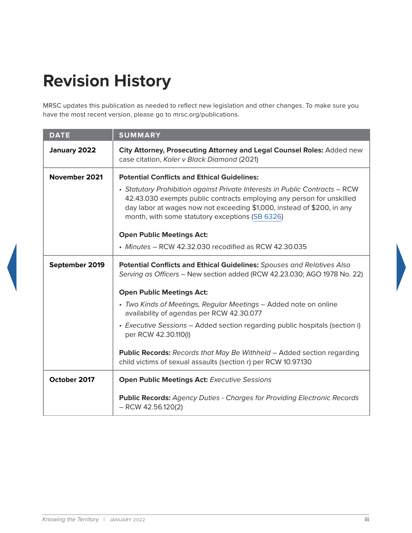# **Revision History**

MRSC updates this publication as needed to reflect new legislation and other changes. To make sure you have the most recent version, please go to mrsc.org/publications.

| <b>DATE</b>    | <b>SUMMARY</b>                                                                                                                                                                                                                                                                    |
|----------------|-----------------------------------------------------------------------------------------------------------------------------------------------------------------------------------------------------------------------------------------------------------------------------------|
| January 2022   | City Attorney, Prosecuting Attorney and Legal Counsel Roles: Added new<br>case citation, Koler v Black Diamond (2021)                                                                                                                                                             |
| November 2021  | <b>Potential Conflicts and Ethical Guidelines:</b>                                                                                                                                                                                                                                |
|                | • Statutory Prohibition against Private Interests in Public Contracts - RCW<br>42.43.030 exempts public contracts employing any person for unskilled<br>day labor at wages now not exceeding \$1,000, instead of \$200, in any<br>month, with some statutory exceptions (SB 6326) |
|                | <b>Open Public Meetings Act:</b>                                                                                                                                                                                                                                                  |
|                | • Minutes - RCW 42.32.030 recodified as RCW 42.30.035                                                                                                                                                                                                                             |
| September 2019 | Potential Conflicts and Ethical Guidelines: Spouses and Relatives Also<br>Serving as Officers - New section added (RCW 42.23.030; AGO 1978 No. 22)                                                                                                                                |
|                | <b>Open Public Meetings Act:</b>                                                                                                                                                                                                                                                  |
|                | • Two Kinds of Meetings, Regular Meetings - Added note on online<br>availability of agendas per RCW 42.30.077                                                                                                                                                                     |
|                | • Executive Sessions - Added section regarding public hospitals (section i)<br>per RCW 42.30.110(I)                                                                                                                                                                               |
|                | <b>Public Records:</b> Records that May Be Withheld - Added section regarding<br>child victims of sexual assaults (section r) per RCW 10.97.130                                                                                                                                   |
| October 2017   | <b>Open Public Meetings Act: Executive Sessions</b>                                                                                                                                                                                                                               |
|                | <b>Public Records:</b> Agency Duties - Charges for Providing Electronic Records<br>$-$ RCW 42.56.120(2)                                                                                                                                                                           |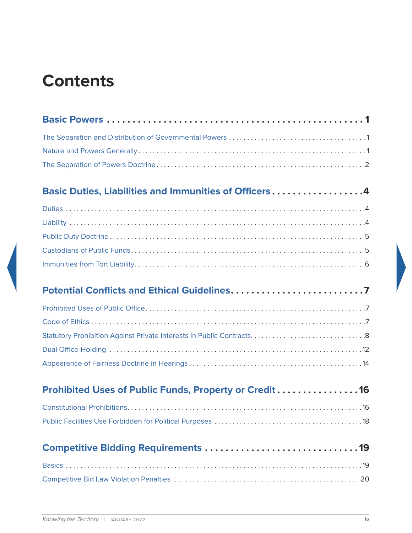# **Contents**

| Basic Duties, Liabilities and Immunities of Officers4  |  |
|--------------------------------------------------------|--|
|                                                        |  |
|                                                        |  |
|                                                        |  |
|                                                        |  |
|                                                        |  |
|                                                        |  |
|                                                        |  |
|                                                        |  |
|                                                        |  |
|                                                        |  |
|                                                        |  |
| Prohibited Uses of Public Funds, Property or Credit 16 |  |
|                                                        |  |
|                                                        |  |
|                                                        |  |
|                                                        |  |
|                                                        |  |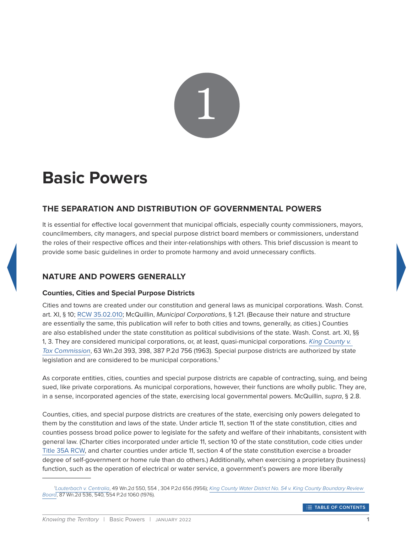

# <span id="page-5-0"></span>**Basic Powers**

# <span id="page-5-1"></span>**THE SEPARATION AND DISTRIBUTION OF GOVERNMENTAL POWERS**

It is essential for effective local government that municipal officials, especially county commissioners, mayors, councilmembers, city managers, and special purpose district board members or commissioners, understand the roles of their respective offices and their inter-relationships with others. This brief discussion is meant to provide some basic guidelines in order to promote harmony and avoid unnecessary conflicts.

# <span id="page-5-2"></span>**NATURE AND POWERS GENERALLY**

#### **Counties, Cities and Special Purpose Districts**

Cities and towns are created under our constitution and general laws as municipal corporations. Wash. Const. art. XI, § 10; [RCW 35.02.010](http://app.leg.wa.gov/rcw/default.aspx?cite=35.02.010); McQuillin, *Municipal Corporations*, § 1.21. (Because their nature and structure are essentially the same, this publication will refer to both cities and towns, generally, as cities.) Counties are also established under the state constitution as political subdivisions of the state. Wash. Const. art. XI, §§ 1, 3. They are considered municipal corporations, or, at least, quasi-municipal corporations. *[King County v.](http://courts.mrsc.org/mc/courts/zsupreme/063wn2d/063wn2d0393.htm)  [Tax Commission](http://courts.mrsc.org/mc/courts/zsupreme/063wn2d/063wn2d0393.htm)*, 63 Wn.2d 393, 398, 387 P.2d 756 (1963). Special purpose districts are authorized by state legislation and are considered to be municipal corporations.<sup>1</sup>

As corporate entities, cities, counties and special purpose districts are capable of contracting, suing, and being sued, like private corporations. As municipal corporations, however, their functions are wholly public. They are, in a sense, incorporated agencies of the state, exercising local governmental powers. McQuillin, *supra*, § 2.8.

Counties, cities, and special purpose districts are creatures of the state, exercising only powers delegated to them by the constitution and laws of the state. Under article 11, section 11 of the state constitution, cities and counties possess broad police power to legislate for the safety and welfare of their inhabitants, consistent with general law. (Charter cities incorporated under article 11, section 10 of the state constitution, code cities under [Title 35A RCW,](http://app.leg.wa.gov/rcw/default.aspx?Cite=35A) and charter counties under article 11, section 4 of the state constitution exercise a broader degree of self-government or home rule than do others.) Additionally, when exercising a proprietary (business) function, such as the operation of electrical or water service, a government's powers are more liberally

<sup>1</sup> *[Lauterbach v. Centralia](http://courts.mrsc.org/mc/courts/zsupreme/049wn2d/049wn2d0550.htm)*, 49 Wn.2d 550, 554 , 304 P.2d 656 (1956); *[King County Water District No. 54 v. King County Boundary Review](http://courts.mrsc.org/mc/courts/zsupreme/087wn2d/087wn2d0536.htm)  [Board](http://courts.mrsc.org/mc/courts/zsupreme/087wn2d/087wn2d0536.htm)*, 87 Wn.2d 536, 540, 554 P.2d 1060 (1976).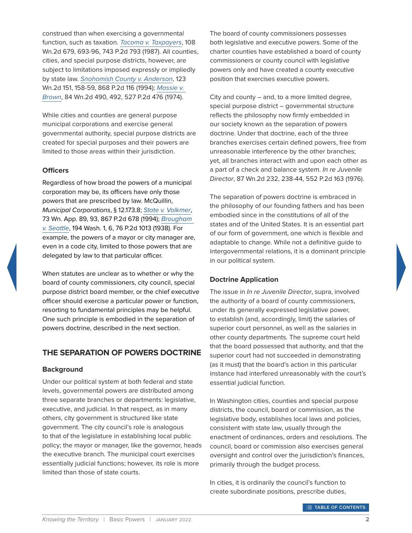construed than when exercising a governmental function, such as taxation. *[Tacoma v. Taxpayers](http://courts.mrsc.org/mc/courts/zsupreme/108wn2d/108wn2d0679.htm)*, 108 Wn.2d 679, 693-96, 743 P.2d 793 (1987). All counties, cities, and special purpose districts, however, are subject to limitations imposed expressly or impliedly by state law. *[Snohomish County v. Anderson](http://courts.mrsc.org/mc/courts/zsupreme/123wn2d/123wn2d0151.htm)*, 123 Wn.2d 151, 158-59, 868 P.2d 116 (1994); *[Massie v.](http://courts.mrsc.org/mc/courts/zsupreme/084wn2d/084wn2d0490.htm)  [Brown](http://courts.mrsc.org/mc/courts/zsupreme/084wn2d/084wn2d0490.htm)*, 84 Wn.2d 490, 492, 527 P.2d 476 (1974).

While cities and counties are general purpose municipal corporations and exercise general governmental authority, special purpose districts are created for special purposes and their powers are limited to those areas within their jurisdiction.

#### **Officers**

Regardless of how broad the powers of a municipal corporation may be, its officers have only those powers that are prescribed by law. McQuillin, *Municipal Corporations*, § 12.173.8; *[State v. Volkmer](http://courts.mrsc.org/mc/courts/zappellate/073wnapp/073wnapp0089.htm)*, 73 Wn. App. 89, 93, 867 P.2d 678 (1994); *[Brougham](http://courts.mrsc.org/mc/courts/zwashreports/194WashReport/194WashReport0001.htm)  [v. Seattle](http://courts.mrsc.org/mc/courts/zwashreports/194WashReport/194WashReport0001.htm)*, 194 Wash. 1, 6, 76 P.2d 1013 (1938). For example, the powers of a mayor or city manager are, even in a code city, limited to those powers that are delegated by law to that particular officer.

When statutes are unclear as to whether or why the board of county commissioners, city council, special purpose district board member, or the chief executive officer should exercise a particular power or function, resorting to fundamental principles may be helpful. One such principle is embodied in the separation of powers doctrine, described in the next section.

#### <span id="page-6-0"></span>**THE SEPARATION OF POWERS DOCTRINE**

#### **Background**

Under our political system at both federal and state levels, governmental powers are distributed among three separate branches or departments: legislative, executive, and judicial. In that respect, as in many others, city government is structured like state government. The city council's role is analogous to that of the legislature in establishing local public policy; the mayor or manager, like the governor, heads the executive branch. The municipal court exercises essentially judicial functions; however, its role is more limited than those of state courts.

The board of county commissioners possesses both legislative and executive powers. Some of the charter counties have established a board of county commissioners or county council with legislative powers only and have created a county executive position that exercises executive powers.

City and county – and, to a more limited degree, special purpose district – governmental structure reflects the philosophy now firmly embedded in our society known as the separation of powers doctrine. Under that doctrine, each of the three branches exercises certain defined powers, free from unreasonable interference by the other branches; yet, all branches interact with and upon each other as a part of a check and balance system. *In re Juvenile Director*, 87 Wn.2d 232, 238-44, 552 P.2d 163 (1976).

The separation of powers doctrine is embraced in the philosophy of our founding fathers and has been embodied since in the constitutions of all of the states and of the United States. It is an essential part of our form of government, one which is flexible and adaptable to change. While not a definitive guide to intergovernmental relations, it is a dominant principle in our political system.

#### **Doctrine Application**

The issue in *In re Juvenile Director*, supra, involved the authority of a board of county commissioners, under its generally expressed legislative power, to establish (and, accordingly, limit) the salaries of superior court personnel, as well as the salaries in other county departments. The supreme court held that the board possessed that authority, and that the superior court had not succeeded in demonstrating (as it must) that the board's action in this particular instance had interfered unreasonably with the court's essential judicial function.

In Washington cities, counties and special purpose districts, the council, board or commission, as the legislative body, establishes local laws and policies, consistent with state law, usually through the enactment of ordinances, orders and resolutions. The council, board or commission also exercises general oversight and control over the jurisdiction's finances, primarily through the budget process.

In cities, it is ordinarily the council's function to create subordinate positions, prescribe duties,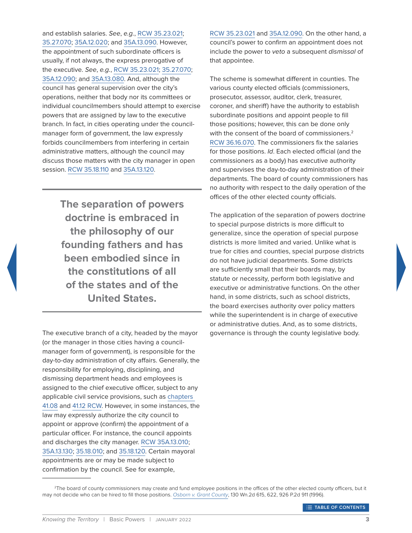and establish salaries. *See*, *e.g.*, [RCW 35.23.021](http://app.leg.wa.gov/rcw/default.aspx?Cite=35.23.021); [35.27.070](http://app.leg.wa.gov/rcw/default.aspx?Cite=35.27.070); [35A.12.020](http://app.leg.wa.gov/rcw/default.aspx?Cite=35A.12.020); and [35A.13.090](http://app.leg.wa.gov/rcw/default.aspx?Cite=35A.13.090). However, the appointment of such subordinate officers is usually, if not always, the express prerogative of the executive. *See*, *e.g.*, [RCW 35.23.021](http://app.leg.wa.gov/rcw/default.aspx?Cite=35.23.021); [35.27.070](http://app.leg.wa.gov/rcw/default.aspx?Cite=35.27.070); [35A.12.090;](http://app.leg.wa.gov/rcw/default.aspx?Cite=35A.12.090) and [35A.13.080](http://app.leg.wa.gov/rcw/default.aspx?Cite=35A.13.080). And, although the council has general supervision over the city's operations, neither that body nor its committees or individual councilmembers should attempt to exercise powers that are assigned by law to the executive branch. In fact, in cities operating under the councilmanager form of government, the law expressly forbids councilmembers from interfering in certain administrative matters, although the council may discuss those matters with the city manager in open session. [RCW 35.18.110](http://app.leg.wa.gov/rcw/default.aspx?Cite=35.18.110) and [35A.13.120.](http://app.leg.wa.gov/rcw/default.aspx?Cite=35A.13.120)

> **The separation of powers doctrine is embraced in the philosophy of our founding fathers and has been embodied since in the constitutions of all of the states and of the United States.**

The executive branch of a city, headed by the mayor (or the manager in those cities having a councilmanager form of government), is responsible for the day-to-day administration of city affairs. Generally, the responsibility for employing, disciplining, and dismissing department heads and employees is assigned to the chief executive officer, subject to any applicable civil service provisions, such as [chapters](http://app.leg.wa.gov/rcw/default.aspx?Cite=41.08)  [41.08](http://app.leg.wa.gov/rcw/default.aspx?Cite=41.08) and [41.12 RCW.](http://app.leg.wa.gov/rcw/default.aspx?Cite=41.12) However, in some instances, the law may expressly authorize the city council to appoint or approve (confirm) the appointment of a particular officer. For instance, the council appoints and discharges the city manager. [RCW 35A.13.010](http://app.leg.wa.gov/rcw/default.aspx?Cite=35A.13.010); [35A.13.130](https://app.leg.wa.gov/rcw/default.aspx?cite=35A.13.130); [35.18.010;](http://app.leg.wa.gov/rcw/default.aspx?Cite=35.18.010) and [35.18.120.](http://app.leg.wa.gov/rcw/default.aspx?Cite=35.18.120) Certain mayoral appointments are or may be made subject to confirmation by the council. See for example,

[RCW 35.23.021](http://app.leg.wa.gov/rcw/default.aspx?Cite=35.23.021) and [35A.12.090](http://app.leg.wa.gov/rcw/default.aspx?Cite=35A.12.090). On the other hand, a council's power to confirm an appointment does not include the power to *veto* a subsequent *dismissal* of that appointee.

The scheme is somewhat different in counties. The various county elected officials (commissioners, prosecutor, assessor, auditor, clerk, treasurer, coroner, and sheriff) have the authority to establish subordinate positions and appoint people to fill those positions; however, this can be done only with the consent of the board of commissioners.<sup>2</sup> [RCW 36.16.070.](http://app.leg.wa.gov/rcw/default.aspx?Cite=36.16.070) The commissioners fix the salaries for those positions. *Id*. Each elected official (and the commissioners as a body) has executive authority and supervises the day-to-day administration of their departments. The board of county commissioners has no authority with respect to the daily operation of the offices of the other elected county officials.

The application of the separation of powers doctrine to special purpose districts is more difficult to generalize, since the operation of special purpose districts is more limited and varied. Unlike what is true for cities and counties, special purpose districts do not have judicial departments. Some districts are sufficiently small that their boards may, by statute or necessity, perform both legislative and executive or administrative functions. On the other hand, in some districts, such as school districts, the board exercises authority over policy matters while the superintendent is in charge of executive or administrative duties. And, as to some districts, governance is through the county legislative body.

<sup>&</sup>lt;sup>2</sup>The board of county commissioners may create and fund employee positions in the offices of the other elected county officers, but it may not decide who can be hired to fill those positions. *[Osborn v. Grant County](http://courts.mrsc.org/mc/courts/zsupreme/130wn2d/130wn2d0615.htm)*, 130 Wn.2d 615, 622, 926 P.2d 911 (1996).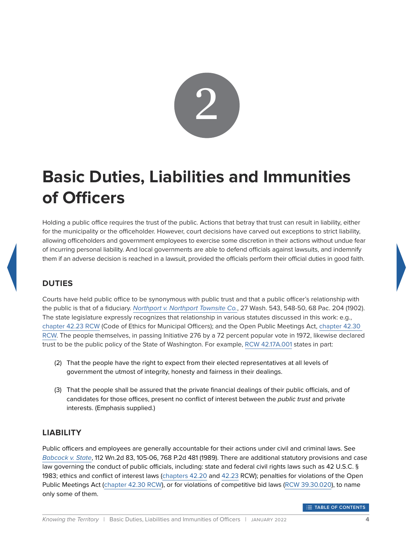

# <span id="page-8-0"></span>**Basic Duties, Liabilities and Immunities of Officers**

Holding a public office requires the trust of the public. Actions that betray that trust can result in liability, either for the municipality or the officeholder. However, court decisions have carved out exceptions to strict liability, allowing officeholders and government employees to exercise some discretion in their actions without undue fear of incurring personal liability. And local governments are able to defend officials against lawsuits, and indemnify them if an adverse decision is reached in a lawsuit, provided the officials perform their official duties in good faith.

# <span id="page-8-1"></span>**DUTIES**

Courts have held public office to be synonymous with public trust and that a public officer's relationship with the public is that of a fiduciary. *[Northport v. Northport Townsite Co.](http://courts.mrsc.org/mc/courts/zwashreports/027WashReport/027WashReport0543.htm)*, 27 Wash. 543, 548-50, 68 Pac. 204 (1902). The state legislature expressly recognizes that relationship in various statutes discussed in this work: e.g., [chapter 42.23 RCW](http://app.leg.wa.gov/rcw/default.aspx?Cite=42.23) (Code of Ethics for Municipal Officers); and the Open Public Meetings Act, [chapter 42.30](http://app.leg.wa.gov/rcw/default.aspx?Cite=42.30)  [RCW.](http://app.leg.wa.gov/rcw/default.aspx?Cite=42.30) The people themselves, in passing Initiative 276 by a 72 percent popular vote in 1972, likewise declared trust to be the public policy of the State of Washington. For example, [RCW 42.17A.001](http://app.leg.wa.gov/rcw/default.aspx?Cite=42.17A.001) states in part:

- (2) That the people have the right to expect from their elected representatives at all levels of government the utmost of integrity, honesty and fairness in their dealings.
- (3) That the people shall be assured that the private financial dealings of their public officials, and of candidates for those offices, present no conflict of interest between the *public trust* and private interests. (Emphasis supplied.)

## <span id="page-8-2"></span>**LIABILITY**

Public officers and employees are generally accountable for their actions under civil and criminal laws. See *[Babcock v. State](http://courts.mrsc.org/mc/courts/zsupreme/112wn2d/112wn2d0083.htm)*, 112 Wn.2d 83, 105-06, 768 P.2d 481 (1989). There are additional statutory provisions and case law governing the conduct of public officials, including: state and federal civil rights laws such as 42 U.S.C. § 1983; ethics and conflict of interest laws [\(chapters 42.20](http://app.leg.wa.gov/rcw/default.aspx?Cite=42.20) and [42.23](http://app.leg.wa.gov/rcw/default.aspx?Cite=42.23) RCW); penalties for violations of the Open Public Meetings Act ([chapter 42.30 RCW](http://app.leg.wa.gov/rcw/default.aspx?Cite=42.30)), or for violations of competitive bid laws ([RCW 39.30.020\)](http://app.leg.wa.gov/rcw/default.aspx?Cite=39.30.020), to name only some of them.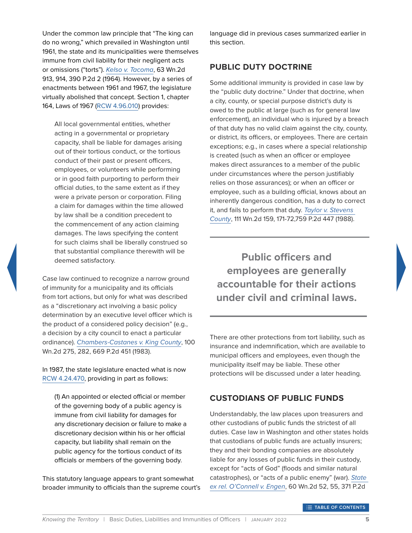Under the common law principle that "The king can do no wrong," which prevailed in Washington until 1961, the state and its municipalities were themselves immune from civil liability for their negligent acts or omissions ("torts"). *[Kelso v. Tacoma](http://courts.mrsc.org/mc/courts/zsupreme/063wn2d/063wn2d0913.htm)*, 63 Wn.2d 913, 914, 390 P.2d 2 (1964). However, by a series of enactments between 1961 and 1967, the legislature virtually abolished that concept. Section 1, chapter 164, Laws of 1967 ([RCW 4.96.010\)](http://app.leg.wa.gov/rcw/default.aspx?Cite=4.96.010) provides:

All local governmental entities, whether acting in a governmental or proprietary capacity, shall be liable for damages arising out of their tortious conduct, or the tortious conduct of their past or present officers, employees, or volunteers while performing or in good faith purporting to perform their official duties, to the same extent as if they were a private person or corporation. Filing a claim for damages within the time allowed by law shall be a condition precedent to the commencement of any action claiming damages. The laws specifying the content for such claims shall be liberally construed so that substantial compliance therewith will be deemed satisfactory.

Case law continued to recognize a narrow ground of immunity for a municipality and its officials from tort actions, but only for what was described as a "discretionary act involving a basic policy determination by an executive level officer which is the product of a considered policy decision" (e.g., a decision by a city council to enact a particular ordinance). *[Chambers-Castanes v. King County](http://courts.mrsc.org/mc/courts/zsupreme/100wn2d/100wn2d0275.htm)*, 100 Wn.2d 275, 282, 669 P.2d 451 (1983).

In 1987, the state legislature enacted what is now [RCW 4.24.470](http://app.leg.wa.gov/rcw/default.aspx?Cite=4.24.470), providing in part as follows:

(1) An appointed or elected official or member of the governing body of a public agency is immune from civil liability for damages for any discretionary decision or failure to make a discretionary decision within his or her official capacity, but liability shall remain on the public agency for the tortious conduct of its officials or members of the governing body.

This statutory language appears to grant somewhat broader immunity to officials than the supreme court's language did in previous cases summarized earlier in this section.

#### <span id="page-9-0"></span>**PUBLIC DUTY DOCTRINE**

Some additional immunity is provided in case law by the "public duty doctrine." Under that doctrine, when a city, county, or special purpose district's duty is owed to the public at large (such as for general law enforcement), an individual who is injured by a breach of that duty has no valid claim against the city, county, or district, its officers, or employees. There are certain exceptions; e.g., in cases where a special relationship is created (such as when an officer or employee makes direct assurances to a member of the public under circumstances where the person justifiably relies on those assurances); or when an officer or employee, such as a building official, knows about an inherently dangerous condition, has a duty to correct it, and fails to perform that duty. *[Taylor v. Stevens](http://courts.mrsc.org/mc/courts/zsupreme/111wn2d/111wn2d0159.htm)  [County](http://courts.mrsc.org/mc/courts/zsupreme/111wn2d/111wn2d0159.htm)*, 111 Wn.2d 159, 171-72,759 P.2d 447 (1988).

**Public officers and employees are generally accountable for their actions under civil and criminal laws.**

There are other protections from tort liability, such as insurance and indemnification, which are available to municipal officers and employees, even though the municipality itself may be liable. These other protections will be discussed under a later heading.

## <span id="page-9-1"></span>**CUSTODIANS OF PUBLIC FUNDS**

Understandably, the law places upon treasurers and other custodians of public funds the strictest of all duties. Case law in Washington and other states holds that custodians of public funds are actually insurers; they and their bonding companies are absolutely liable for any losses of public funds in their custody, except for "acts of God" (floods and similar natural catastrophes), or "acts of a public enemy" (war). *[State](http://courts.mrsc.org/mc/courts/zsupreme/060wn2d/060wn2d0052.htm)  [ex rel. O'Connell v. Engen](http://courts.mrsc.org/mc/courts/zsupreme/060wn2d/060wn2d0052.htm)*, 60 Wn.2d 52, 55, 371 P.2d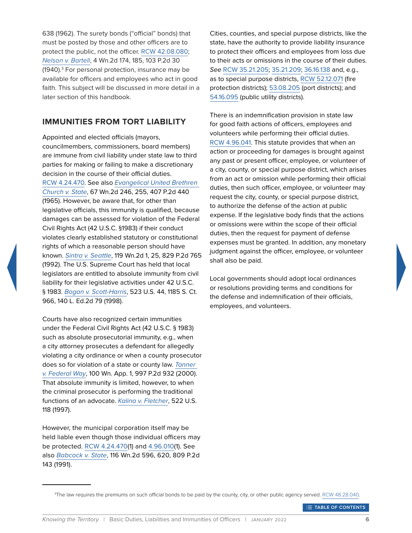638 (1962). The surety bonds ("official" bonds) that must be posted by those and other officers are to protect the public, not the officer. [RCW 42.08.080;](http://app.leg.wa.gov/rcw/default.aspx?Cite=42.08.080) *[Nelson v. Bartell](http://courts.mrsc.org/mc/courts/zsupreme/004wn2d/004wn2d0174.htm)*, 4 Wn.2d 174, 185, 103 P.2d 30 (1940).<sup>3</sup> For personal protection, insurance may be available for officers and employees who act in good faith. This subject will be discussed in more detail in a later section of this handbook.

#### <span id="page-10-0"></span>**IMMUNITIES FROM TORT LIABILITY**

Appointed and elected officials (mayors, councilmembers, commissioners, board members) are immune from civil liability under state law to third parties for making or failing to make a discretionary decision in the course of their official duties. [RCW 4.24.470](http://app.leg.wa.gov/rcw/default.aspx?Cite=4.24.470). See also *[Evangelical United Brethren](http://courts.mrsc.org/mc/courts/zsupreme/067wn2d/067wn2d0246.htm)  [Church v. State](http://courts.mrsc.org/mc/courts/zsupreme/067wn2d/067wn2d0246.htm)*, 67 Wn.2d 246, 255, 407 P.2d 440 (1965). However, be aware that, for other than legislative officials, this immunity is qualified, because damages can be assessed for violation of the Federal Civil Rights Act (42 U.S.C. §1983) if their conduct violates clearly established statutory or constitutional rights of which a reasonable person should have known. *[Sintra v. Seattle](http://courts.mrsc.org/mc/courts/zsupreme/119wn2d/119wn2d0001.htm)*, 119 Wn.2d 1, 25, 829 P.2d 765 (1992). The U.S. Supreme Court has held that local legislators are entitled to absolute immunity from civil liability for their legislative activities under 42 U.S.C. § 1983. *[Bogan v. Scott-Harris](https://www.law.cornell.edu/supct/html/96-1569.ZO.html)*, 523 U.S. 44, 1185 S. Ct. 966, 140 L. Ed.2d 79 (1998).

Courts have also recognized certain immunities under the Federal Civil Rights Act (42 U.S.C. § 1983) such as absolute prosecutorial immunity, e.g., when a city attorney prosecutes a defendant for allegedly violating a city ordinance or when a county prosecutor does so for violation of a state or county law. *[Tanner](http://courts.mrsc.org/mc/courts/zappellate/100wnapp/100wnapp0001.htm)  [v. Federal Way](http://courts.mrsc.org/mc/courts/zappellate/100wnapp/100wnapp0001.htm)*, 100 Wn. App. 1, 997 P.2d 932 (2000). That absolute immunity is limited, however, to when the criminal prosecutor is performing the traditional functions of an advocate. *[Kalina v. Fletcher](https://www.law.cornell.edu/supct/html/96-792.ZO.html)*, 522 U.S. 118 (1997).

However, the municipal corporation itself may be held liable even though those individual officers may be protected. [RCW 4.24.470\(](http://app.leg.wa.gov/rcw/default.aspx?Cite=4.24.470)1) and [4.96.010\(](http://app.leg.wa.gov/rcw/default.aspx?Cite=4.96.010)1). See also *[Babcock v. State](http://courts.mrsc.org/mc/courts/zsupreme/116wn2d/116wn2d0596.htm)*, 116 Wn.2d 596, 620, 809 P.2d 143 (1991).

Cities, counties, and special purpose districts, like the state, have the authority to provide liability insurance to protect their officers and employees from loss due to their acts or omissions in the course of their duties. *See* [RCW 35.21.205](http://app.leg.wa.gov/rcw/default.aspx?Cite=35.21.205); [35.21.209](http://app.leg.wa.gov/rcw/default.aspx?Cite=35.21.209); [36.16.138](http://app.leg.wa.gov/rcw/default.aspx?Cite=36.16.138) and, e.g., as to special purpose districts, [RCW 52.12.071](http://app.leg.wa.gov/rcw/default.aspx?Cite=52.12.071) (fire protection districts); [53.08.205](http://app.leg.wa.gov/rcw/default.aspx?Cite=53.08.205) (port districts); and [54.16.095](http://app.leg.wa.gov/rcw/default.aspx?Cite=54.16.095) (public utility districts).

There is an indemnification provision in state law for good faith actions of officers, employees and volunteers while performing their official duties. [RCW 4.96.041](http://app.leg.wa.gov/rcw/default.aspx?Cite=4.96.041). This statute provides that when an action or proceeding for damages is brought against any past or present officer, employee, or volunteer of a city, county, or special purpose district, which arises from an act or omission while performing their official duties, then such officer, employee, or volunteer may request the city, county, or special purpose district, to authorize the defense of the action at public expense. If the legislative body finds that the actions or omissions were within the scope of their official duties, then the request for payment of defense expenses must be granted. In addition, any monetary judgment against the officer, employee, or volunteer shall also be paid.

Local governments should adopt local ordinances or resolutions providing terms and conditions for the defense and indemnification of their officials, employees, and volunteers.

**TABLE OF CONTENTS** 

<sup>3</sup> The law requires the premiums on such official bonds to be paid by the county, city, or other public agency served. [RCW 48.28.040.](http://app.leg.wa.gov/rcw/default.aspx?Cite=48.28.040)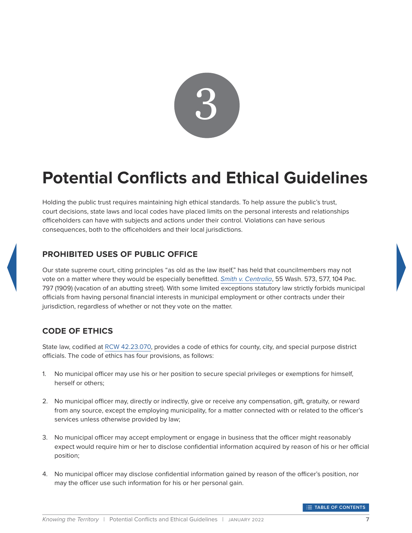

# <span id="page-11-0"></span>**Potential Conflicts and Ethical Guidelines**

Holding the public trust requires maintaining high ethical standards. To help assure the public's trust, court decisions, state laws and local codes have placed limits on the personal interests and relationships officeholders can have with subjects and actions under their control. Violations can have serious consequences, both to the officeholders and their local jurisdictions.

## <span id="page-11-1"></span>**PROHIBITED USES OF PUBLIC OFFICE**

Our state supreme court, citing principles "as old as the law itself," has held that councilmembers may not vote on a matter where they would be especially benefitted. *[Smith v. Centralia](http://courts.mrsc.org/mc/courts/zwashreports/055WashReport/055WashReport0573.htm)*, 55 Wash. 573, 577, 104 Pac. 797 (1909) (vacation of an abutting street). With some limited exceptions statutory law strictly forbids municipal officials from having personal financial interests in municipal employment or other contracts under their jurisdiction, regardless of whether or not they vote on the matter.

## <span id="page-11-2"></span>**CODE OF ETHICS**

State law, codified at [RCW 42.23.070](http://app.leg.wa.gov/rcw/default.aspx?Cite=42.23.070), provides a code of ethics for county, city, and special purpose district officials. The code of ethics has four provisions, as follows:

- 1. No municipal officer may use his or her position to secure special privileges or exemptions for himself, herself or others;
- 2. No municipal officer may, directly or indirectly, give or receive any compensation, gift, gratuity, or reward from any source, except the employing municipality, for a matter connected with or related to the officer's services unless otherwise provided by law;
- 3. No municipal officer may accept employment or engage in business that the officer might reasonably expect would require him or her to disclose confidential information acquired by reason of his or her official position;
- 4. No municipal officer may disclose confidential information gained by reason of the officer's position, nor may the officer use such information for his or her personal gain.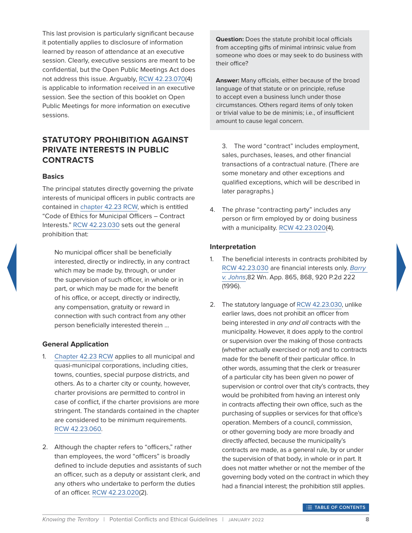This last provision is particularly significant because it potentially applies to disclosure of information learned by reason of attendance at an executive session. Clearly, executive sessions are meant to be confidential, but the Open Public Meetings Act does not address this issue. Arguably, [RCW 42.23.070](http://app.leg.wa.gov/rcw/default.aspx?Cite=42.23.070)(4) is applicable to information received in an executive session. See the section of this booklet on Open Public Meetings for more information on executive sessions.

#### <span id="page-12-0"></span>**STATUTORY PROHIBITION AGAINST PRIVATE INTERESTS IN PUBLIC CONTRACTS**

#### **Basics**

The principal statutes directly governing the private interests of municipal officers in public contracts are contained in [chapter 42.23 RCW](http://app.leg.wa.gov/rcw/default.aspx?Cite=42.23), which is entitled "Code of Ethics for Municipal Officers – Contract Interests." [RCW 42.23.030](http://app.leg.wa.gov/rcw/default.aspx?Cite=42.23.030) sets out the general prohibition that:

No municipal officer shall be beneficially interested, directly or indirectly, in any contract which may be made by, through, or under the supervision of such officer, in whole or in part, or which may be made for the benefit of his office, or accept, directly or indirectly, any compensation, gratuity or reward in connection with such contract from any other person beneficially interested therein …

#### **General Application**

- 1. [Chapter 42.23 RCW](http://app.leg.wa.gov/rcw/default.aspx?Cite=42.23) applies to all municipal and quasi-municipal corporations, including cities, towns, counties, special purpose districts, and others. As to a charter city or county, however, charter provisions are permitted to control in case of conflict, if the charter provisions are more stringent. The standards contained in the chapter are considered to be minimum requirements. [RCW 42.23.060](http://app.leg.wa.gov/rcw/default.aspx?Cite=42.23.060).
- 2. Although the chapter refers to "officers," rather than employees, the word "officers" is broadly defined to include deputies and assistants of such an officer, such as a deputy or assistant clerk, and any others who undertake to perform the duties of an officer. [RCW 42.23.020\(](http://app.leg.wa.gov/rcw/default.aspx?Cite=42.23.020)2).

**Question:** Does the statute prohibit local officials from accepting gifts of minimal intrinsic value from someone who does or may seek to do business with their office?

**Answer:** Many officials, either because of the broad language of that statute or on principle, refuse to accept even a business lunch under those circumstances. Others regard items of only token or trivial value to be de minimis; i.e., of insufficient amount to cause legal concern.

3. The word "contract" includes employment, sales, purchases, leases, and other financial transactions of a contractual nature. (There are some monetary and other exceptions and qualified exceptions, which will be described in later paragraphs.)

4. The phrase "contracting party" includes any person or firm employed by or doing business with a municipality. [RCW 42.23.020](http://app.leg.wa.gov/rcw/default.aspx?Cite=42.23.020)(4).

#### **Interpretation**

- 1. The beneficial interests in contracts prohibited by [RCW 42.23.030](http://app.leg.wa.gov/rcw/default.aspx?Cite=42.23.030) are financial interests only. *[Barry](http://courts.mrsc.org/appellate/082wnapp/082wnapp0865.htm)  [v. Johns](http://courts.mrsc.org/appellate/082wnapp/082wnapp0865.htm)*,82 Wn. App. 865, 868, 920 P.2d 222 (1996).
- 2. The statutory language of [RCW 42.23.030](http://app.leg.wa.gov/rcw/default.aspx?Cite=42.23.030), unlike earlier laws, does not prohibit an officer from being interested in *any and all* contracts with the municipality. However, it does apply to the control or supervision over the making of those contracts (whether actually exercised or not) and to contracts made for the benefit of their particular office. In other words, assuming that the clerk or treasurer of a particular city has been given no power of supervision or control over that city's contracts, they would be prohibited from having an interest only in contracts affecting their own office, such as the purchasing of supplies or services for that office's operation. Members of a council, commission, or other governing body are more broadly and directly affected, because the municipality's contracts are made, as a general rule, by or under the supervision of that body, in whole or in part. It does not matter whether or not the member of the governing body voted on the contract in which they had a financial interest; the prohibition still applies.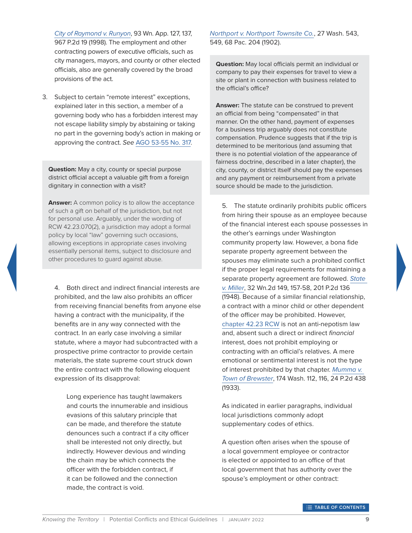*[City of Raymond v. Runyon](http://courts.mrsc.org/mc/courts/zappellate/093wnapp/093wnapp0127.htm)*, 93 Wn. App. 127, 137, 967 P.2d 19 (1998). The employment and other contracting powers of executive officials, such as city managers, mayors, and county or other elected officials, also are generally covered by the broad provisions of the act.

3. Subject to certain "remote interest" exceptions, explained later in this section, a member of a governing body who has a forbidden interest may not escape liability simply by abstaining or taking no part in the governing body's action in making or approving the contract. *See* [AGO 53-55 No. 317](https://www.atg.wa.gov/ago-opinions/public-officers-school-directors-interest-contract-district-avoiding-contract-effect).

**Question:** May a city, county or special purpose district official accept a valuable gift from a foreign dignitary in connection with a visit?

**Answer:** A common policy is to allow the acceptance of such a gift on behalf of the jurisdiction, but not for personal use. Arguably, under the wording of RCW 42.23.070(2), a jurisdiction may adopt a formal policy by local "law" governing such occasions, allowing exceptions in appropriate cases involving essentially personal items, subject to disclosure and other procedures to guard against abuse.

4. Both direct and indirect financial interests are prohibited, and the law also prohibits an officer from receiving financial benefits from anyone else having a contract with the municipality, if the benefits are in any way connected with the contract. In an early case involving a similar statute, where a mayor had subcontracted with a prospective prime contractor to provide certain materials, the state supreme court struck down the entire contract with the following eloquent expression of its disapproval:

Long experience has taught lawmakers and courts the innumerable and insidious evasions of this salutary principle that can be made, and therefore the statute denounces such a contract if a city officer shall be interested not only directly, but indirectly. However devious and winding the chain may be which connects the officer with the forbidden contract, if it can be followed and the connection made, the contract is void.

*[Northport v. Northport Townsite Co.](http://courts.mrsc.org/mc/courts/zwashreports/027WashReport/027WashReport0543.htm)*, 27 Wash. 543, 549, 68 Pac. 204 (1902).

**Question:** May local officials permit an individual or company to pay their expenses for travel to view a site or plant in connection with business related to the official's office?

**Answer:** The statute can be construed to prevent an official from being "compensated" in that manner. On the other hand, payment of expenses for a business trip arguably does not constitute compensation. Prudence suggests that if the trip is determined to be meritorious (and assuming that there is no potential violation of the appearance of fairness doctrine, described in a later chapter), the city, county, or district itself should pay the expenses and any payment or reimbursement from a private source should be made to the jurisdiction.

5. The statute ordinarily prohibits public officers from hiring their spouse as an employee because of the financial interest each spouse possesses in the other's earnings under Washington community property law. However, a bona fide separate property agreement between the spouses may eliminate such a prohibited conflict if the proper legal requirements for maintaining a separate property agreement are followed. *[State](http://courts.mrsc.org/mc/courts/zsupreme/032wn2d/032wn2d0149.htm)  [v. Miller](http://courts.mrsc.org/mc/courts/zsupreme/032wn2d/032wn2d0149.htm)*, 32 Wn.2d 149, 157-58, 201 P.2d 136 (1948). Because of a similar financial relationship, a contract with a minor child or other dependent of the officer may be prohibited. However, [chapter 42.23 RCW](http://app.leg.wa.gov/rcw/default.aspx?Cite=42.23) is not an anti-nepotism law and, absent such a direct or indirect *financial* interest, does not prohibit employing or contracting with an official's relatives. A mere emotional or sentimental interest is not the type of interest prohibited by that chapter. *[Mumma v.](http://courts.mrsc.org/mc/courts/zwashreports/174WashReport/174WashReport0112.htm)  [Town of Brewster](http://courts.mrsc.org/mc/courts/zwashreports/174WashReport/174WashReport0112.htm)*, 174 Wash. 112, 116, 24 P.2d 438 (1933).

As indicated in earlier paragraphs, individual local jurisdictions commonly adopt supplementary codes of ethics.

A question often arises when the spouse of a local government employee or contractor is elected or appointed to an office of that local government that has authority over the spouse's employment or other contract: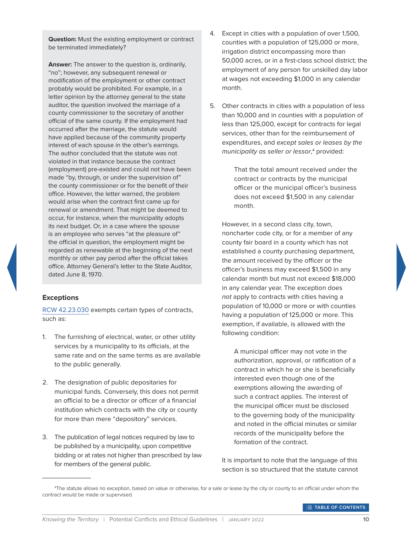**Question:** Must the existing employment or contract be terminated immediately?

**Answer:** The answer to the question is, ordinarily, "no"; however, any subsequent renewal or modification of the employment or other contract probably would be prohibited. For example, in a letter opinion by the attorney general to the state auditor, the question involved the marriage of a county commissioner to the secretary of another official of the same county. If the employment had occurred after the marriage, the statute would have applied because of the community property interest of each spouse in the other's earnings. The author concluded that the statute was not violated in that instance because the contract (employment) pre-existed and could not have been made "by, through, or under the supervision of" the county commissioner or for the benefit of their office. However, the letter warned, the problem would arise when the contract first came up for renewal or amendment. That might be deemed to occur, for instance, when the municipality adopts its next budget. Or, in a case where the spouse is an employee who serves "at the pleasure of" the official in question, the employment might be regarded as renewable at the beginning of the next monthly or other pay period after the official takes office. Attorney General's letter to the State Auditor, dated June 8, 1970.

#### **Exceptions**

[RCW 42.23.030](http://app.leg.wa.gov/rcw/default.aspx?Cite=42.23.030) exempts certain types of contracts, such as:

- 1. The furnishing of electrical, water, or other utility services by a municipality to its officials, at the same rate and on the same terms as are available to the public generally.
- 2. The designation of public depositaries for municipal funds. Conversely, this does not permit an official to be a director or officer of a financial institution which contracts with the city or county for more than mere "depository" services.
- 3. The publication of legal notices required by law to be published by a municipality, upon competitive bidding or at rates not higher than prescribed by law for members of the general public.
- 4. Except in cities with a population of over 1,500, counties with a population of 125,000 or more, irrigation district encompassing more than 50,000 acres, or in a first-class school district; the employment of any person for unskilled day labor at wages not exceeding \$1,000 in any calendar month.
- 5. Other contracts in cities with a population of less than 10,000 and in counties with a population of less than 125,000, except for contracts for legal services, other than for the reimbursement of expenditures, and *except sales or leases by the municipality as seller or lessor*, 4 provided:

That the total amount received under the contract or contracts by the municipal officer or the municipal officer's business does not exceed \$1,500 in any calendar month.

However, in a second class city, town, noncharter code city, or for a member of any county fair board in a county which has not established a county purchasing department, the amount received by the officer or the officer's business may exceed \$1,500 in any calendar month but must not exceed \$18,000 in any calendar year. The exception does *not* apply to contracts with cities having a population of 10,000 or more or with counties having a population of 125,000 or more. This exemption, if available, is allowed with the following condition:

A municipal officer may not vote in the authorization, approval, or ratification of a contract in which he or she is beneficially interested even though one of the exemptions allowing the awarding of such a contract applies. The interest of the municipal officer must be disclosed to the governing body of the municipality and noted in the official minutes or similar records of the municipality before the formation of the contract.

It is important to note that the language of this section is so structured that the statute cannot

<sup>4</sup> The statute allows no exception, based on value or otherwise, for a sale or lease by the city or county to an official under whom the contract would be made or supervised.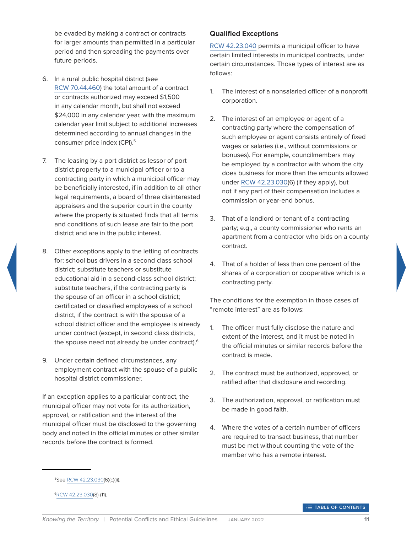be evaded by making a contract or contracts for larger amounts than permitted in a particular period and then spreading the payments over future periods.

- 6. In a rural public hospital district (see [RCW 70.44.460\)](http://app.leg.wa.gov/rcw/default.aspx?Cite=70.44.460) the total amount of a contract or contracts authorized may exceed \$1,500 in any calendar month, but shall not exceed \$24,000 in any calendar year, with the maximum calendar year limit subject to additional increases determined according to annual changes in the consumer price index (CPI).<sup>5</sup>
- 7. The leasing by a port district as lessor of port district property to a municipal officer or to a contracting party in which a municipal officer may be beneficially interested, if in addition to all other legal requirements, a board of three disinterested appraisers and the superior court in the county where the property is situated finds that all terms and conditions of such lease are fair to the port district and are in the public interest.
- 8. Other exceptions apply to the letting of contracts for: school bus drivers in a second class school district; substitute teachers or substitute educational aid in a second-class school district; substitute teachers, if the contracting party is the spouse of an officer in a school district; certificated or classified employees of a school district, if the contract is with the spouse of a school district officer and the employee is already under contract (except, in second class districts, the spouse need not already be under contract).<sup>6</sup>
- 9. Under certain defined circumstances, any employment contract with the spouse of a public hospital district commissioner.

If an exception applies to a particular contract, the municipal officer may not vote for its authorization, approval, or ratification and the interest of the municipal officer must be disclosed to the governing body and noted in the official minutes or other similar records before the contract is formed.

#### **Qualified Exceptions**

[RCW 42.23.040](http://app.leg.wa.gov/rcw/default.aspx?Cite=42.23.040) permits a municipal officer to have certain limited interests in municipal contracts, under certain circumstances. Those types of interest are as follows:

- 1. The interest of a nonsalaried officer of a nonprofit corporation.
- 2. The interest of an employee or agent of a contracting party where the compensation of such employee or agent consists entirely of fixed wages or salaries (i.e., without commissions or bonuses). For example, councilmembers may be employed by a contractor with whom the city does business for more than the amounts allowed under [RCW 42.23.030\(](http://app.leg.wa.gov/rcw/default.aspx?Cite=42.23.030)6) (if they apply), but not if any part of their compensation includes a commission or year-end bonus.
- 3. That of a landlord or tenant of a contracting party; e.g., a county commissioner who rents an apartment from a contractor who bids on a county contract.
- 4. That of a holder of less than one percent of the shares of a corporation or cooperative which is a contracting party.

The conditions for the exemption in those cases of "remote interest" are as follows:

- 1. The officer must fully disclose the nature and extent of the interest, and it must be noted in the official minutes or similar records before the contract is made.
- 2. The contract must be authorized, approved, or ratified after that disclosure and recording.
- 3. The authorization, approval, or ratification must be made in good faith.
- 4. Where the votes of a certain number of officers are required to transact business, that number must be met without counting the vote of the member who has a remote interest.

<sup>5</sup>See [RCW 42.23.030](http://app.leg.wa.gov/rcw/default.aspx?Cite=42.23.030)(6)(c)(ii).

<sup>6</sup>[RCW 42.23.030](http://app.leg.wa.gov/rcw/default.aspx?Cite=42.23.030)(8)-(11).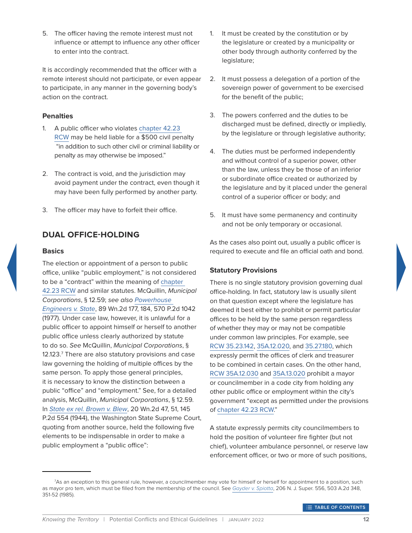5. The officer having the remote interest must not influence or attempt to influence any other officer to enter into the contract.

It is accordingly recommended that the officer with a remote interest should not participate, or even appear to participate, in any manner in the governing body's action on the contract.

#### **Penalties**

- 1. A public officer who violates [chapter 42.23](http://app.leg.wa.gov/rcw/default.aspx?Cite=42.23)  [RCW](http://app.leg.wa.gov/rcw/default.aspx?Cite=42.23) may be held liable for a \$500 civil penalty "in addition to such other civil or criminal liability or penalty as may otherwise be imposed."
- 2. The contract is void, and the jurisdiction may avoid payment under the contract, even though it may have been fully performed by another party.
- 3. The officer may have to forfeit their office.

# <span id="page-16-0"></span>**DUAL OFFICE-HOLDING**

#### **Basics**

The election or appointment of a person to public office, unlike "public employment," is not considered to be a "contract" within the meaning of [chapter](http://app.leg.wa.gov/rcw/default.aspx?Cite=42.23)  [42.23 RCW](http://app.leg.wa.gov/rcw/default.aspx?Cite=42.23) and similar statutes. McQuillin, *Municipal Corporations*, § 12.59; *see also [Powerhouse](http://courts.mrsc.org/mc/courts/zsupreme/089wn2d/089wn2d0177.htm)  [Engineers v. State](http://courts.mrsc.org/mc/courts/zsupreme/089wn2d/089wn2d0177.htm)*, 89 Wn.2d 177, 184, 570 P.2d 1042 (1977). Under case law, however, it is unlawful for a public officer to appoint himself or herself to another public office unless clearly authorized by statute to do so. *See* McQuillin, *Municipal Corporations*, § 12.123.7 There are also statutory provisions and case law governing the holding of multiple offices by the same person. To apply those general principles, it is necessary to know the distinction between a public "office" and "employment." See, for a detailed analysis, McQuillin, *Municipal Corporations*, § 12.59. In *[State ex rel. Brown v. Blew](http://courts.mrsc.org/mc/courts/zsupreme/020wn2d/020wn2d0047.htm)*, 20 Wn.2d 47, 51, 145 P.2d 554 (1944), the Washington State Supreme Court, quoting from another source, held the following five elements to be indispensable in order to make a public employment a "public office":

- 1. It must be created by the constitution or by the legislature or created by a municipality or other body through authority conferred by the legislature;
- 2. It must possess a delegation of a portion of the sovereign power of government to be exercised for the benefit of the public;
- 3. The powers conferred and the duties to be discharged must be defined, directly or impliedly, by the legislature or through legislative authority;
- 4. The duties must be performed independently and without control of a superior power, other than the law, unless they be those of an inferior or subordinate office created or authorized by the legislature and by it placed under the general control of a superior officer or body; and
- 5. It must have some permanency and continuity and not be only temporary or occasional.

As the cases also point out, usually a public officer is required to execute and file an official oath and bond.

#### **Statutory Provisions**

There is no single statutory provision governing dual office-holding. In fact, statutory law is usually silent on that question except where the legislature has deemed it best either to prohibit or permit particular offices to be held by the same person regardless of whether they may or may not be compatible under common law principles. For example, see [RCW 35.23.142](http://app.leg.wa.gov/rcw/default.aspx?Cite=35.23.142), [35A.12.020](http://app.leg.wa.gov/rcw/default.aspx?Cite=35A.12.020), and [35.27.180,](http://app.leg.wa.gov/rcw/default.aspx?Cite=35.27.180) which expressly permit the offices of clerk and treasurer to be combined in certain cases. On the other hand, [RCW 35A.12.030](http://app.leg.wa.gov/rcw/default.aspx?Cite=35A.12.030) and [35A.13.020](http://app.leg.wa.gov/rcw/default.aspx?Cite=35A.13.020) prohibit a mayor or councilmember in a code city from holding any other public office or employment within the city's government "except as permitted under the provisions of [chapter 42.23 RCW.](http://app.leg.wa.gov/rcw/default.aspx?Cite=42.23)"

A statute expressly permits city councilmembers to hold the position of volunteer fire fighter (but not chief), volunteer ambulance personnel, or reserve law enforcement officer, or two or more of such positions,

<sup>7</sup> As an exception to this general rule, however, a councilmember may vote for himself or herself for appointment to a position, such as mayor pro tem, which must be filled from the membership of the council. See *[Gayder v. Spiotta](http://scholar.google.com/scholar_case?case=3707516872675820737&hl=en&as_sdt=6&as_vis=1&oi=scholarr)*, 206 N. J. Super. 556, 503 A.2d 348, 351-52 (1985).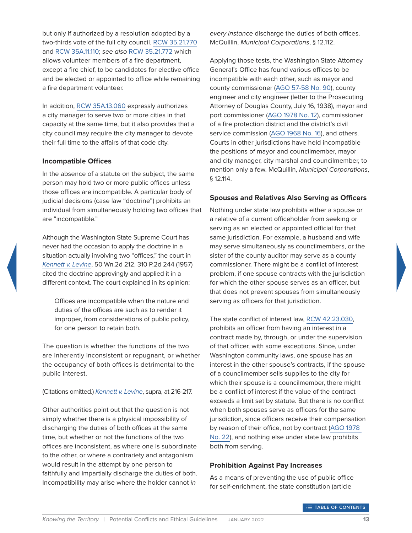but only if authorized by a resolution adopted by a two-thirds vote of the full city council. [RCW 35.21.770](http://app.leg.wa.gov/rcw/default.aspx?Cite=35.21.770) and [RCW 35A.11.110](http://app.leg.wa.gov/rcw/default.aspx?Cite=35A.11.110); *see also* [RCW 35.21.772](http://app.leg.wa.gov/rcw/default.aspx?Cite=35.21.772) which allows volunteer members of a fire department, except a fire chief, to be candidates for elective office and be elected or appointed to office while remaining a fire department volunteer.

In addition, [RCW 35A.13.060](http://app.leg.wa.gov/rcw/default.aspx?Cite=35A.13.060) expressly authorizes a city manager to serve two or more cities in that capacity at the same time, but it also provides that a city council may require the city manager to devote their full time to the affairs of that code city.

#### **Incompatible Offices**

In the absence of a statute on the subject, the same person may hold two or more public offices unless those offices are incompatible. A particular body of judicial decisions (case law "doctrine") prohibits an individual from simultaneously holding two offices that are "incompatible."

Although the Washington State Supreme Court has never had the occasion to apply the doctrine in a situation actually involving two "offices," the court in *[Kennett v. Levine](http://courts.mrsc.org/mc/courts/zsupreme/050wn2d/050wn2d0212.htm)*, 50 Wn.2d 212, 310 P.2d 244 (1957) cited the doctrine approvingly and applied it in a different context. The court explained in its opinion:

Offices are incompatible when the nature and duties of the offices are such as to render it improper, from considerations of public policy, for one person to retain both.

The question is whether the functions of the two are inherently inconsistent or repugnant, or whether the occupancy of both offices is detrimental to the public interest.

(Citations omitted.) *[Kennett v. Levine](http://courts.mrsc.org/mc/courts/zsupreme/050wn2d/050wn2d0212.htm)*, supra, at 216-217.

Other authorities point out that the question is not simply whether there is a physical impossibility of discharging the duties of both offices at the same time, but whether or not the functions of the two offices are inconsistent, as where one is subordinate to the other, or where a contrariety and antagonism would result in the attempt by one person to faithfully and impartially discharge the duties of both. Incompatibility may arise where the holder cannot *in* 

*every instance* discharge the duties of both offices. McQuillin, *Municipal Corporations*, § 12.112.

Applying those tests, the Washington State Attorney General's Office has found various offices to be incompatible with each other, such as mayor and county commissioner [\(AGO 57-58 No. 90\)](https://www.atg.wa.gov/ago-opinions/incompatible-offices-offices-and-officers-city-county-cities-and-towns-counties-county), county engineer and city engineer (letter to the Prosecuting Attorney of Douglas County, July 16, 1938), mayor and port commissioner [\(AGO 1978 No. 12](https://www.atg.wa.gov/ago-opinions/offices-and-officers-city-mayor-post-commissioner-incompatible-public-offices)), commissioner of a fire protection district and the district's civil service commission ([AGO 1968 No. 16\)](https://www.atg.wa.gov/ago-opinions/districts-fire-protection-civil-service-incompatible-offices), and others. Courts in other jurisdictions have held incompatible the positions of mayor and councilmember, mayor and city manager, city marshal and councilmember, to mention only a few. McQuillin, *Municipal Corporations*, § 12.114.

#### **Spouses and Relatives Also Serving as Officers**

Nothing under state law prohibits either a spouse or a relative of a current officeholder from seeking or serving as an elected or appointed official for that same jurisdiction. For example, a husband and wife may serve simultaneously as councilmembers, or the sister of the county auditor may serve as a county commissioner. There might be a conflict of interest problem, if one spouse contracts with the jurisdiction for which the other spouse serves as an officer, but that does not prevent spouses from simultaneously serving as officers for that jurisdiction.

The state conflict of interest law, [RCW 42.23.030](https://app.leg.wa.gov/RCW/default.aspx?cite=42.23.030), prohibits an officer from having an interest in a contract made by, through, or under the supervision of that officer, with some exceptions. Since, under Washington community laws, one spouse has an interest in the other spouse's contracts, if the spouse of a councilmember sells supplies to the city for which their spouse is a councilmember, there might be a conflict of interest if the value of the contract exceeds a limit set by statute. But there is no conflict when both spouses serve as officers for the same jurisdiction, since officers receive their compensation by reason of their office, not by contract [\(AGO 1978](https://www.atg.wa.gov/ago-opinions/offices-and-officers-district-fire-protection-wife-commissioner-secretary-fire)  [No. 22](https://www.atg.wa.gov/ago-opinions/offices-and-officers-district-fire-protection-wife-commissioner-secretary-fire)), and nothing else under state law prohibits both from serving.

#### **Prohibition Against Pay Increases**

As a means of preventing the use of public office for self-enrichment, the state constitution (article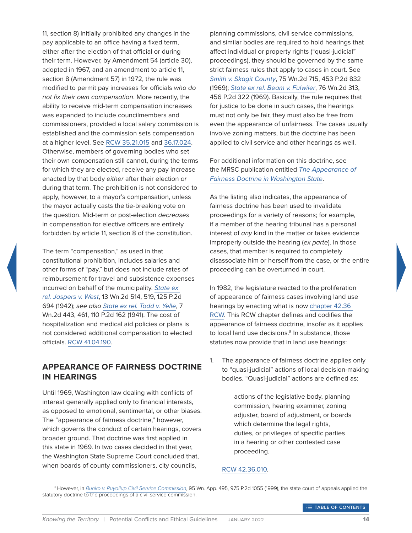11, section 8) initially prohibited any changes in the pay applicable to an office having a fixed term, either after the election of that official or during their term. However, by Amendment 54 (article 30), adopted in 1967, and an amendment to article 11, section 8 (Amendment 57) in 1972, the rule was modified to permit pay increases for officials *who do not fix their own compensation*. More recently, the ability to receive mid-term compensation increases was expanded to include councilmembers and commissioners, provided a local salary commission is established and the commission sets compensation at a higher level. See [RCW 35.21.015](http://app.leg.wa.gov/rcw/default.aspx?Cite=35.21.015) and [36.17.024](https://app.leg.wa.gov/RCW/default.aspx?cite=36.17.024). Otherwise, members of governing bodies who set their own compensation still cannot, during the terms for which they are elected, receive any pay increase enacted by that body *either* after their election *or* during that term. The prohibition is not considered to apply, however, to a mayor's compensation, unless the mayor actually casts the tie-breaking vote on the question. Mid-term or post-election *decreases* in compensation for elective officers are entirely forbidden by article 11, section 8 of the constitution.

The term "compensation," as used in that constitutional prohibition, includes salaries and other forms of "pay," but does not include rates of reimbursement for travel and subsistence expenses incurred on behalf of the municipality. *[State ex](http://courts.mrsc.org/mc/courts/zsupreme/013wn2d/013wn2d0514.htm)  [rel. Jaspers v. West](http://courts.mrsc.org/mc/courts/zsupreme/013wn2d/013wn2d0514.htm)*, 13 Wn.2d 514, 519, 125 P.2d 694 (1942); *see also [State ex rel. Todd v. Yelle](http://courts.mrsc.org/mc/courts/zsupreme/007wn2d/007wn2d0443.htm)*, 7 Wn.2d 443, 461, 110 P.2d 162 (1941). The cost of hospitalization and medical aid policies or plans is not considered additional compensation to elected officials. [RCW 41.04.190](http://app.leg.wa.gov/rcw/default.aspx?Cite=41.04.190).

#### <span id="page-18-0"></span>**APPEARANCE OF FAIRNESS DOCTRINE IN HEARINGS**

Until 1969, Washington law dealing with conflicts of interest generally applied only to financial interests, as opposed to emotional, sentimental, or other biases. The "appearance of fairness doctrine," however, which governs the conduct of certain hearings, covers broader ground. That doctrine was first applied in this state in 1969. In two cases decided in that year, the Washington State Supreme Court concluded that, when boards of county commissioners, city councils,

planning commissions, civil service commissions, and similar bodies are required to hold hearings that affect individual or property rights ("quasi-judicial" proceedings), they should be governed by the same strict fairness rules that apply to cases in court. See *[Smith v. Skagit County](http://courts.mrsc.org/mc/courts/zsupreme/075wn2d/075wn2d0715.htm)*, 75 Wn.2d 715, 453 P.2d 832 (1969); *[State ex rel. Beam v. Fulwiler](http://courts.mrsc.org/mc/courts/zsupreme/076wn2d/076wn2d0313.htm)*, 76 Wn.2d 313, 456 P.2d 322 (1969). Basically, the rule requires that for justice to be done in such cases, the hearings must not only be fair, they must also be free from even the appearance of unfairness. The cases usually involve zoning matters, but the doctrine has been applied to civil service and other hearings as well.

For additional information on this doctrine, see the MRSC publication entitled *[The Appearance of](https://mrsc.org/getmedia/04ae5092-48df-4964-91d7-2a9d87cb2b7c/Appearance-Of-Fairness-Doctrine-In-Washington-State.pdf.aspx?ext=.pdf)  [Fairness Doctrine in Washington State](https://mrsc.org/getmedia/04ae5092-48df-4964-91d7-2a9d87cb2b7c/Appearance-Of-Fairness-Doctrine-In-Washington-State.pdf.aspx?ext=.pdf)*.

As the listing also indicates, the appearance of fairness doctrine has been used to invalidate proceedings for a variety of reasons; for example, if a member of the hearing tribunal has a personal interest of *any* kind in the matter or takes evidence improperly outside the hearing (*ex parte*). In those cases, that member is required to completely disassociate him or herself from the case, or the entire proceeding can be overturned in court.

In 1982, the legislature reacted to the proliferation of appearance of fairness cases involving land use hearings by enacting what is now [chapter 42.36](http://app.leg.wa.gov/rcw/default.aspx?Cite=42.36)  [RCW.](http://app.leg.wa.gov/rcw/default.aspx?Cite=42.36) This RCW chapter defines and codifies the appearance of fairness doctrine, insofar as it applies to local land use decisions.<sup>8</sup> In substance, those statutes now provide that in land use hearings:

1. The appearance of fairness doctrine applies only to "quasi-judicial" actions of local decision-making bodies. "Quasi-judicial" actions are defined as:

> actions of the legislative body, planning commission, hearing examiner, zoning adjuster, board of adjustment, or boards which determine the legal rights, duties, or privileges of specific parties in a hearing or other contested case proceeding.

#### [RCW 42.36.010.](http://app.leg.wa.gov/rcw/default.aspx?Cite=42.36.010)

<sup>8</sup> However, in *[Bunko v. Puyallup Civil Service Commission](http://courts.mrsc.org/mc/courts/zappellate/095wnapp/095wnapp0495.htm)*, 95 Wn. App. 495, 975 P.2d 1055 (1999), the state court of appeals applied the statutory doctrine to the proceedings of a civil service commission.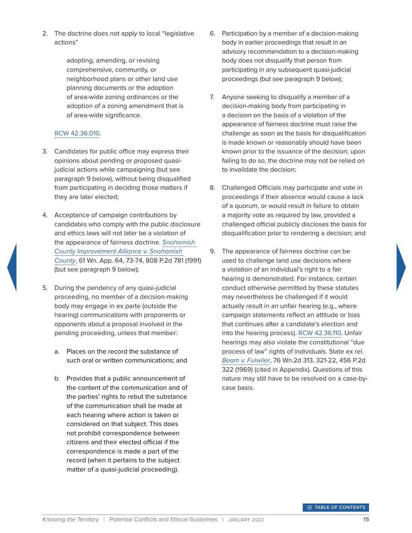2. The doctrine does not apply to local "legislative actions"

> adopting, amending, or revising comprehensive, community, or neighborhood plans or other land use planning documents or the adoption of area-wide zoning ordinances or the adoption of a zoning amendment that is of area-wide significance.

#### [RCW 42.36.010.](http://app.leg.wa.gov/rcw/default.aspx?Cite=42.36.010)

- 3. Candidates for public office may express their opinions about pending or proposed quasijudicial actions while campaigning (but see paragraph 9 below), without being disqualified from participating in deciding those matters if they are later elected;
- 4. Acceptance of campaign contributions by candidates who comply with the public disclosure and ethics laws will not later be a violation of the appearance of fairness doctrine. *[Snohomish](http://courts.mrsc.org/mc/courts/zappellate/061wnapp/061wnapp0064.htm)  [County Improvement Alliance v. Snohomish](http://courts.mrsc.org/mc/courts/zappellate/061wnapp/061wnapp0064.htm)  [County](http://courts.mrsc.org/mc/courts/zappellate/061wnapp/061wnapp0064.htm)*, 61 Wn. App. 64, 73-74, 808 P.2d 781 (1991) (but see paragraph 9 below);
- 5. During the pendency of any quasi-judicial proceeding, no member of a decision-making body may engage in ex parte (outside the hearing) communications with proponents or opponents about a proposal involved in the pending proceeding, unless that member:
	- a. Places on the record the substance of such oral or written communications; and
	- b. Provides that a public announcement of the content of the communication and of the parties' rights to rebut the substance of the communication shall be made at each hearing where action is taken or considered on that subject. This does not prohibit correspondence between citizens and their elected official if the correspondence is made a part of the record (when it pertains to the subject matter of a quasi-judicial proceeding).
- 6. Participation by a member of a decision-making body in earlier proceedings that result in an advisory recommendation to a decision-making body does not disqualify that person from participating in any subsequent quasi-judicial proceedings (but see paragraph 9 below);
- 7. Anyone seeking to disqualify a member of a decision-making body from participating in a decision on the basis of a violation of the appearance of fairness doctrine must raise the challenge as soon as the basis for disqualification is made known or reasonably should have been known prior to the issuance of the decision; upon failing to do so, the doctrine may not be relied on to invalidate the decision;
- 8. Challenged Officials may participate and vote in proceedings if their absence would cause a lack of a quorum, or would result in failure to obtain a majority vote as required by law, provided a challenged official publicly discloses the basis for disqualification prior to rendering a decision; and
- 9. The appearance of fairness doctrine can be used to challenge land use decisions where a violation of an individual's right to a fair hearing is demonstrated. For instance, certain conduct otherwise permitted by these statutes may nevertheless be challenged if it would actually result in an unfair hearing (e.g., where campaign statements reflect an attitude or bias that continues after a candidate's election and into the hearing process). [RCW 42.36.110](http://app.leg.wa.gov/rcw/default.aspx?Cite=42.36.110). Unfair hearings may also violate the constitutional "due process of law" rights of individuals. State ex rel. *[Beam v. Fulwiler](http://courts.mrsc.org/mc/courts/zsupreme/076wn2d/076wn2d0313.htm)*, 76 Wn.2d 313, 321-22, 456 P.2d 322 (1969) (cited in Appendix). Questions of this nature may still have to be resolved on a case-bycase basis.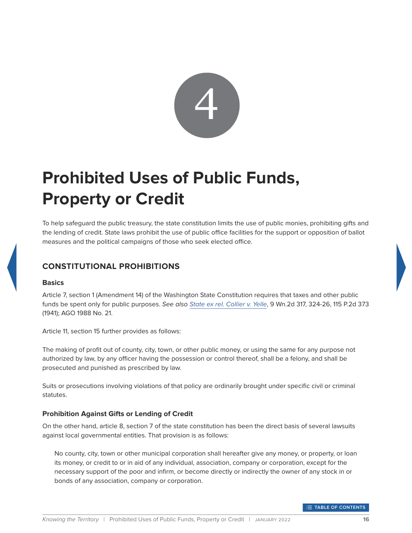

# <span id="page-20-0"></span>**Prohibited Uses of Public Funds, Property or Credit**

To help safeguard the public treasury, the state constitution limits the use of public monies, prohibiting gifts and the lending of credit. State laws prohibit the use of public office facilities for the support or opposition of ballot measures and the political campaigns of those who seek elected office.

# <span id="page-20-1"></span>**CONSTITUTIONAL PROHIBITIONS**

#### **Basics**

Article 7, section 1 (Amendment 14) of the Washington State Constitution requires that taxes and other public funds be spent only for public purposes. *See also [State ex rel. Collier v. Yelle](http://courts.mrsc.org/mc/courts/zsupreme/009wn2d/009wn2d0317.htm)*, 9 Wn.2d 317, 324-26, 115 P.2d 373 (1941); AGO 1988 No. 21.

Article 11, section 15 further provides as follows:

The making of profit out of county, city, town, or other public money, or using the same for any purpose not authorized by law, by any officer having the possession or control thereof, shall be a felony, and shall be prosecuted and punished as prescribed by law.

Suits or prosecutions involving violations of that policy are ordinarily brought under specific civil or criminal statutes.

#### **Prohibition Against Gifts or Lending of Credit**

On the other hand, article 8, section 7 of the state constitution has been the direct basis of several lawsuits against local governmental entities. That provision is as follows:

No county, city, town or other municipal corporation shall hereafter give any money, or property, or loan its money, or credit to or in aid of any individual, association, company or corporation, except for the necessary support of the poor and infirm, or become directly or indirectly the owner of any stock in or bonds of any association, company or corporation.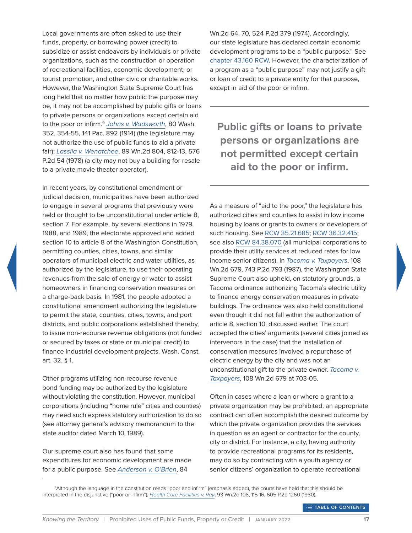Local governments are often asked to use their funds, property, or borrowing power (credit) to subsidize or assist endeavors by individuals or private organizations, such as the construction or operation of recreational facilities, economic development, or tourist promotion, and other civic or charitable works. However, the Washington State Supreme Court has long held that no matter how public the purpose may be, it may not be accomplished by public gifts or loans to private persons or organizations except certain aid to the poor or infirm.9 *[Johns v. Wadsworth](http://courts.mrsc.org/mc/courts/zwashreports/080WashReport/080WashReport0347.htm)*, 80 Wash. 352, 354-55, 141 Pac. 892 (1914) (the legislature may not authorize the use of public funds to aid a private fair); *[Lassila v. Wenatchee](http://courts.mrsc.org/mc/courts/zsupreme/089wn2d/089wn2d0804.htm)*, 89 Wn.2d 804, 812-13, 576 P.2d 54 (1978) (a city may not buy a building for resale to a private movie theater operator).

In recent years, by constitutional amendment or judicial decision, municipalities have been authorized to engage in several programs that previously were held or thought to be unconstitutional under article 8, section 7. For example, by several elections in 1979, 1988, and 1989, the electorate approved and added section 10 to article 8 of the Washington Constitution, permitting counties, cities, towns, and similar operators of municipal electric and water utilities, as authorized by the legislature, to use their operating revenues from the sale of energy or water to assist homeowners in financing conservation measures on a charge-back basis. In 1981, the people adopted a constitutional amendment authorizing the legislature to permit the state, counties, cities, towns, and port districts, and public corporations established thereby, to issue non-recourse revenue obligations (not funded or secured by taxes or state or municipal credit) to finance industrial development projects. Wash. Const. art. 32, § 1.

Other programs utilizing non-recourse revenue bond funding may be authorized by the legislature without violating the constitution. However, municipal corporations (including "home rule" cities and counties) may need such express statutory authorization to do so (see attorney general's advisory memorandum to the state auditor dated March 10, 1989).

Our supreme court also has found that some expenditures for economic development are made for a public purpose. See *[Anderson v. O'Brien](http://courts.mrsc.org/mc/courts/zsupreme/084wn2d/084wn2d0064.htm)*, 84

Wn.2d 64, 70, 524 P.2d 379 (1974). Accordingly, our state legislature has declared certain economic development programs to be a "public purpose." See [chapter 43.160 RCW.](http://app.leg.wa.gov/rcw/default.aspx?Cite=43.160) However, the characterization of a program as a "public purpose" may not justify a gift or loan of credit to a private entity for that purpose, except in aid of the poor or infirm.

**Public gifts or loans to private persons or organizations are not permitted except certain aid to the poor or infirm.**

As a measure of "aid to the poor," the legislature has authorized cities and counties to assist in low income housing by loans or grants to owners or developers of such housing. See [RCW 35.21.685](http://app.leg.wa.gov/rcw/default.aspx?Cite=35.21.685); [RCW 36.32.415;](http://app.leg.wa.gov/rcw/default.aspx?Cite=36.32.415) see also [RCW 84.38.070](http://app.leg.wa.gov/rcw/default.aspx?Cite=84.38.070) (all municipal corporations to provide their utility services at reduced rates for low income senior citizens). In *[Tacoma v. Taxpayers](http://courts.mrsc.org/mc/courts/zsupreme/108wn2d/108wn2d0679.htm)*, 108 Wn.2d 679, 743 P.2d 793 (1987), the Washington State Supreme Court also upheld, on statutory grounds, a Tacoma ordinance authorizing Tacoma's electric utility to finance energy conservation measures in private buildings. The ordinance was also held constitutional even though it did not fall within the authorization of article 8, section 10, discussed earlier. The court accepted the cities' arguments (several cities joined as intervenors in the case) that the installation of conservation measures involved a repurchase of electric energy by the city and was not an unconstitutional gift to the private owner. *[Tacoma v.](http://courts.mrsc.org/mc/courts/zsupreme/108wn2d/108wn2d0679.htm)  [Taxpayers](http://courts.mrsc.org/mc/courts/zsupreme/108wn2d/108wn2d0679.htm)*, 108 Wn.2d 679 at 703-05.

Often in cases where a loan or where a grant to a private organization may be prohibited, an appropriate contract can often accomplish the desired outcome by which the private organization provides the services in question as an agent or contractor for the county, city or district. For instance, a city, having authority to provide recreational programs for its residents, may do so by contracting with a youth agency or senior citizens' organization to operate recreational

9Although the language in the constitution reads "poor and infirm" (emphasis added), the courts have held that this should be interpreted in the disjunctive ("poor or infirm"). *[Health Care Facilities v. Ray](http://courts.mrsc.org/mc/courts/zsupreme/093wn2d/093wn2d0108.htm)*, 93 Wn.2d 108, 115-16, 605 P.2d 1260 (1980).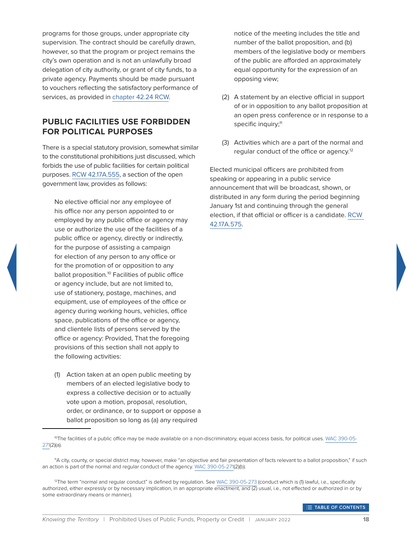programs for those groups, under appropriate city supervision. The contract should be carefully drawn, however, so that the program or project remains the city's own operation and is not an unlawfully broad delegation of city authority, or grant of city funds, to a private agency. Payments should be made pursuant to vouchers reflecting the satisfactory performance of services, as provided in [chapter 42.24 RCW.](http://app.leg.wa.gov/rcw/default.aspx?Cite=42.24)

#### <span id="page-22-0"></span>**PUBLIC FACILITIES USE FORBIDDEN FOR POLITICAL PURPOSES**

There is a special statutory provision, somewhat similar to the constitutional prohibitions just discussed, which forbids the use of public facilities for certain political purposes. [RCW 42.17A.555,](http://app.leg.wa.gov/rcw/default.aspx?Cite=42.17A.555) a section of the open government law, provides as follows:

No elective official nor any employee of his office nor any person appointed to or employed by any public office or agency may use or authorize the use of the facilities of a public office or agency, directly or indirectly, for the purpose of assisting a campaign for election of any person to any office or for the promotion of or opposition to any ballot proposition.<sup>10</sup> Facilities of public office or agency include, but are not limited to, use of stationery, postage, machines, and equipment, use of employees of the office or agency during working hours, vehicles, office space, publications of the office or agency, and clientele lists of persons served by the office or agency: Provided, That the foregoing provisions of this section shall not apply to the following activities:

(1) Action taken at an open public meeting by members of an elected legislative body to express a collective decision or to actually vote upon a motion, proposal, resolution, order, or ordinance, or to support or oppose a ballot proposition so long as (a) any required

notice of the meeting includes the title and number of the ballot proposition, and (b) members of the legislative body or members of the public are afforded an approximately equal opportunity for the expression of an opposing view;

- (2) A statement by an elective official in support of or in opposition to any ballot proposition at an open press conference or in response to a specific inquiry;<sup>11</sup>
- (3) Activities which are a part of the normal and regular conduct of the office or agency.<sup>12</sup>

Elected municipal officers are prohibited from speaking or appearing in a public service announcement that will be broadcast, shown, or distributed in any form during the period beginning January 1st and continuing through the general election, if that official or officer is a candidate. [RCW](http://app.leg.wa.gov/rcw/default.aspx?Cite=42.17A.575)  [42.17A.575](http://app.leg.wa.gov/rcw/default.aspx?Cite=42.17A.575).

<sup>10</sup>The facilities of a public office may be made available on a non-discriminatory, equal access basis, for political uses. [WAC 390-05-](http://app.leg.wa.gov/wac/default.aspx?cite=390-05-271) [271](http://app.leg.wa.gov/wac/default.aspx?cite=390-05-271)(2)(a).

<sup>11</sup>A city, county, or special district may, however, make "an objective and fair presentation of facts relevant to a ballot proposition," if such an action is part of the normal and regular conduct of the agency. [WAC 390-05-271](http://app.leg.wa.gov/wac/default.aspx?cite=390-05-271)(2)(b).

<sup>&</sup>lt;sup>12</sup>The term "normal and regular conduct" is defined by regulation. See [WAC 390-05-273](http://app.leg.wa.gov/wac/default.aspx?cite=390-05-273) (conduct which is (1) lawful, i.e., specifically authorized, either expressly or by necessary implication, in an appropriate enactment, and (2) usual, i.e., not effected or authorized in or by some extraordinary means or manner.).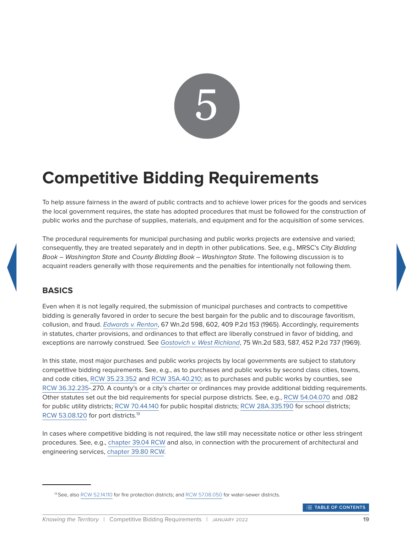

# <span id="page-23-0"></span>**Competitive Bidding Requirements**

To help assure fairness in the award of public contracts and to achieve lower prices for the goods and services the local government requires, the state has adopted procedures that must be followed for the construction of public works and the purchase of supplies, materials, and equipment and for the acquisition of some services.

The procedural requirements for municipal purchasing and public works projects are extensive and varied; consequently, they are treated separately and in depth in other publications. See, e.g., MRSC's *City Bidding Book – Washington State* and *County Bidding Book – Washington State*. The following discussion is to acquaint readers generally with those requirements and the penalties for intentionally not following them.

## <span id="page-23-1"></span>**BASICS**

Even when it is not legally required, the submission of municipal purchases and contracts to competitive bidding is generally favored in order to secure the best bargain for the public and to discourage favoritism, collusion, and fraud. *[Edwards v. Renton](http://courts.mrsc.org/mc/courts/zsupreme/067wn2d/067wn2d0598.htm)*, 67 Wn.2d 598, 602, 409 P.2d 153 (1965). Accordingly, requirements in statutes, charter provisions, and ordinances to that effect are liberally construed in favor of bidding, and exceptions are narrowly construed. See *[Gostovich v. West Richland](http://courts.mrsc.org/mc/courts/zsupreme/075wn2d/075wn2d0583.htm)*, 75 Wn.2d 583, 587, 452 P.2d 737 (1969).

In this state, most major purchases and public works projects by local governments are subject to statutory competitive bidding requirements. See, e.g., as to purchases and public works by second class cities, towns, and code cities, [RCW 35.23.352](http://app.leg.wa.gov/rcw/default.aspx?Cite=35.23.352) and [RCW 35A.40.210;](http://app.leg.wa.gov/rcw/default.aspx?Cite=35A.40.210) as to purchases and public works by counties, see [RCW 36.32.235](http://app.leg.wa.gov/rcw/default.aspx?Cite=36.32.235)-.270. A county's or a city's charter or ordinances may provide additional bidding requirements. Other statutes set out the bid requirements for special purpose districts. See, e.g., [RCW 54.04.070](http://app.leg.wa.gov/rcw/default.aspx?Cite=54.04.070) and .082 for public utility districts; [RCW 70.44.140](http://app.leg.wa.gov/rcw/default.aspx?Cite=70.44.140) for public hospital districts; [RCW 28A.335.190](http://app.leg.wa.gov/rcw/default.aspx?Cite=28A.335.190) for school districts; [RCW 53.08.120](http://app.leg.wa.gov/rcw/default.aspx?Cite=53.08.120) for port districts.<sup>13</sup>

In cases where competitive bidding is not required, the law still may necessitate notice or other less stringent procedures. See, e.g., [chapter 39.04 RCW](http://app.leg.wa.gov/rcw/default.aspx?Cite=39.04) and also, in connection with the procurement of architectural and engineering services, [chapter 39.80 RCW](http://app.leg.wa.gov/rcw/default.aspx?Cite=39.80).

<sup>&</sup>lt;sup>13</sup> See, also [RCW 52.14.110](http://app.leg.wa.gov/rcw/default.aspx?Cite=52.14.110) for fire protection districts; and [RCW 57.08.050](http://app.leg.wa.gov/rcw/default.aspx?Cite=57.08.050) for water-sewer districts.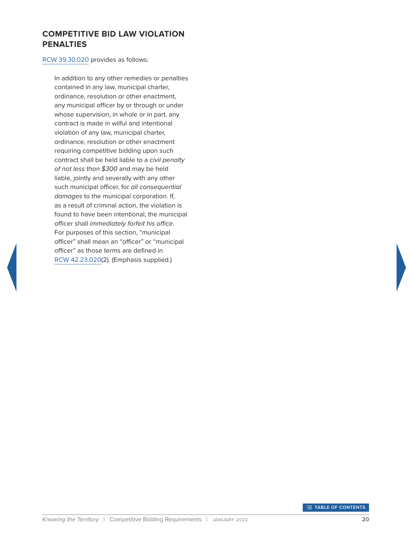#### <span id="page-24-0"></span>**COMPETITIVE BID LAW VIOLATION PENALTIES**

#### [RCW 39.30.020](http://app.leg.wa.gov/rcw/default.aspx?Cite=39.30.020) provides as follows:

In addition to any other remedies or penalties contained in any law, municipal charter, ordinance, resolution or other enactment, any municipal officer by or through or under whose supervision, in whole or in part, any contract is made in wilful and intentional violation of any law, municipal charter, ordinance, resolution or other enactment requiring competitive bidding upon such contract shall be held liable to a *civil penalty of not less than \$300* and may be held liable, jointly and severally with any other such municipal officer, for *all consequential damages* to the municipal corporation. If, as a result of criminal action, the violation is found to have been intentional, the municipal officer shall *immediately forfeit his office*. For purposes of this section, "municipal officer" shall mean an "officer" or "municipal officer" as those terms are defined in [RCW 42.23.020\(](http://app.leg.wa.gov/rcw/default.aspx?Cite=42.23.020)2). (Emphasis supplied.)

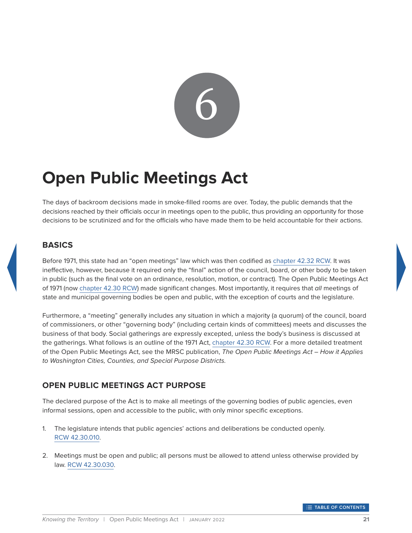

# <span id="page-25-0"></span>**Open Public Meetings Act**

The days of backroom decisions made in smoke-filled rooms are over. Today, the public demands that the decisions reached by their officials occur in meetings open to the public, thus providing an opportunity for those decisions to be scrutinized and for the officials who have made them to be held accountable for their actions.

# <span id="page-25-1"></span>**BASICS**

Before 1971, this state had an "open meetings" law which was then codified as [chapter 42.32 RCW.](http://app.leg.wa.gov/rcw/default.aspx?Cite=42.32) It was ineffective, however, because it required only the "final" action of the council, board, or other body to be taken in public (such as the final vote on an ordinance, resolution, motion, or contract). The Open Public Meetings Act of 1971 (now [chapter 42.30 RCW\)](http://app.leg.wa.gov/rcw/default.aspx?Cite=42.30) made significant changes. Most importantly, it requires that *all* meetings of state and municipal governing bodies be open and public, with the exception of courts and the legislature.

Furthermore, a "meeting" generally includes any situation in which a majority (a quorum) of the council, board of commissioners, or other "governing body" (including certain kinds of committees) meets and discusses the business of that body. Social gatherings are expressly excepted, unless the body's business is discussed at the gatherings. What follows is an outline of the 1971 Act, [chapter 42.30 RCW](http://app.leg.wa.gov/rcw/default.aspx?Cite=42.30). For a more detailed treatment of the Open Public Meetings Act, see the MRSC publication, *The Open Public Meetings Act – How it Applies to Washington Cities, Counties, and Special Purpose Districts.*

# <span id="page-25-2"></span>**OPEN PUBLIC MEETINGS ACT PURPOSE**

The declared purpose of the Act is to make all meetings of the governing bodies of public agencies, even informal sessions, open and accessible to the public, with only minor specific exceptions.

- 1. The legislature intends that public agencies' actions and deliberations be conducted openly. [RCW 42.30.010.](http://app.leg.wa.gov/rcw/default.aspx?Cite=42.30.010)
- 2. Meetings must be open and public; all persons must be allowed to attend unless otherwise provided by law. [RCW 42.30.030](http://app.leg.wa.gov/rcw/default.aspx?Cite=42.30.030).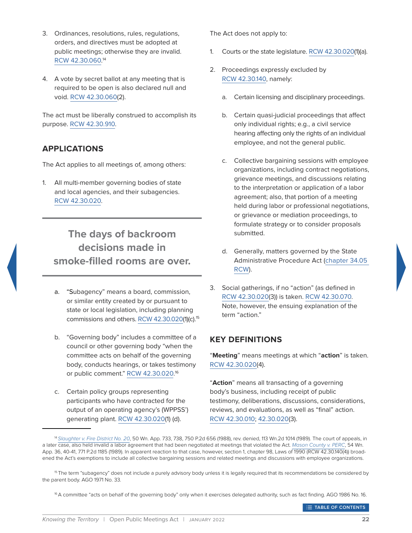- 3. Ordinances, resolutions, rules, regulations, orders, and directives must be adopted at public meetings; otherwise they are invalid. [RCW 42.30.060](http://app.leg.wa.gov/rcw/default.aspx?Cite=42.30.060). 14
- 4. A vote by secret ballot at any meeting that is required to be open is also declared null and void. [RCW 42.30.060](http://app.leg.wa.gov/rcw/default.aspx?Cite=42.30.060)(2).

The act must be liberally construed to accomplish its purpose. [RCW 42.30.910.](http://app.leg.wa.gov/rcw/default.aspx?Cite=42.30.910)

#### <span id="page-26-0"></span>**APPLICATIONS**

The Act applies to all meetings of, among others:

1. All multi-member governing bodies of state and local agencies, and their subagencies. [RCW 42.30.020](http://app.leg.wa.gov/rcw/default.aspx?Cite=42.30.020).

# **The days of backroom decisions made in smoke-filled rooms are over.**

- a. "Subagency" means a board, commission, or similar entity created by or pursuant to state or local legislation, including planning commissions and others. [RCW 42.30.020](http://app.leg.wa.gov/rcw/default.aspx?Cite=42.30.020)(1)(c).<sup>15</sup>
- b. "Governing body" includes a committee of a council or other governing body "when the committee acts on behalf of the governing body, conducts hearings, or takes testimony or public comment." [RCW 42.30.020.](http://app.leg.wa.gov/rcw/default.aspx?Cite=42.30.020) 16
- c. Certain policy groups representing participants who have contracted for the output of an operating agency's (WPPSS') generating plant. [RCW 42.30.020](http://app.leg.wa.gov/rcw/default.aspx?Cite=42.30.020)(1) (d).

The Act does not apply to:

- 1. Courts or the state legislature. [RCW 42.30.020\(](http://app.leg.wa.gov/rcw/default.aspx?Cite=42.30.020)1)(a).
- 2. Proceedings expressly excluded by [RCW 42.30.140,](http://app.leg.wa.gov/rcw/default.aspx?Cite=42.30.140) namely:
	- a. Certain licensing and disciplinary proceedings.
	- b. Certain quasi-judicial proceedings that affect only individual rights; e.g., a civil service hearing affecting only the rights of an individual employee, and not the general public.
	- c. Collective bargaining sessions with employee organizations, including contract negotiations, grievance meetings, and discussions relating to the interpretation or application of a labor agreement; also, that portion of a meeting held during labor or professional negotiations, or grievance or mediation proceedings, to formulate strategy or to consider proposals submitted.
	- d. Generally, matters governed by the State Administrative Procedure Act ([chapter 34.05](http://app.leg.wa.gov/rcw/default.aspx?Cite=34.05)  [RCW\)](http://app.leg.wa.gov/rcw/default.aspx?Cite=34.05).
- 3. Social gatherings, if no "action" (as defined in [RCW 42.30.020\(](http://app.leg.wa.gov/rcw/default.aspx?Cite=42.30.020)3)) is taken. [RCW 42.30.070](http://app.leg.wa.gov/rcw/default.aspx?Cite=42.30.070). Note, however, the ensuing explanation of the term "action."

## <span id="page-26-1"></span>**KEY DEFINITIONS**

"**Meeting**" means meetings at which "**action**" is taken. [RCW 42.30.020\(](http://app.leg.wa.gov/rcw/default.aspx?Cite=42.30.020)4).

"**Action**" means all transacting of a governing body's business, including receipt of public testimony, deliberations, discussions, considerations, reviews, and evaluations, as well as "final" action. [RCW 42.30.010](http://app.leg.wa.gov/rcw/default.aspx?Cite=42.30.010); [42.30.020](http://app.leg.wa.gov/rcw/default.aspx?Cite=42.30.020)(3).

**THE TABLE OF CONTENTS** 

<sup>14</sup>*[Slaughter v. Fire District No. 20](http://courts.mrsc.org/mc/courts/zappellate/050wnapp/050wnapp0733.htm)*, 50 Wn. App. 733, 738, 750 P.2d 656 (1988), rev. denied, 113 Wn.2d 1014 (1989). The court of appeals, in a later case, also held invalid a labor agreement that had been negotiated at meetings that violated the Act. *[Mason County v. PERC](http://courts.mrsc.org/mc/courts/zappellate/054wnapp/054wnapp0036.htm)*, 54 Wn. App. 36, 40-41, 771 P.2d 1185 (1989). In apparent reaction to that case, however, section 1, chapter 98, Laws of 1990 (RCW 42.30.140(4)) broadened the Act's exemptions to include all collective bargaining sessions and related meetings and discussions with employee organizations.

<sup>&</sup>lt;sup>15</sup> The term "subagency" does not include a purely advisory body unless it is legally required that its recommendations be considered by the parent body. AGO 1971 No. 33.

<sup>16</sup> A committee "acts on behalf of the governing body" only when it exercises delegated authority, such as fact finding. AGO 1986 No. 16.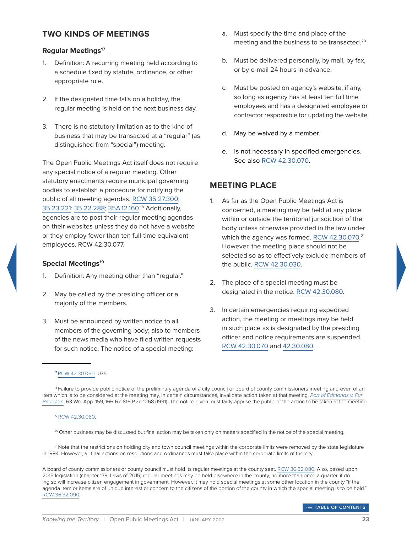#### <span id="page-27-0"></span>**TWO KINDS OF MEETINGS**

#### **Regular Meetings17**

- 1. Definition: A recurring meeting held according to a schedule fixed by statute, ordinance, or other appropriate rule.
- 2. If the designated time falls on a holiday, the regular meeting is held on the next business day.
- 3. There is no statutory limitation as to the kind of business that may be transacted at a "regular" (as distinguished from "special") meeting.

The Open Public Meetings Act itself does not require any special notice of a regular meeting. Other statutory enactments require municipal governing bodies to establish a procedure for notifying the public of all meeting agendas. [RCW 35.27.300;](http://app.leg.wa.gov/rcw/default.aspx?Cite=35.27.300) [35.23.221;](http://app.leg.wa.gov/rcw/default.aspx?Cite=35.23.221) [35.22.288;](http://app.leg.wa.gov/rcw/default.aspx?Cite=35.22.288) [35A.12.160](http://app.leg.wa.gov/rcw/default.aspx?Cite=35A.12.160). 18 Additionally, agencies are to post their regular meeting agendas on their websites unless they do not have a website or they employ fewer than ten full-time equivalent employees. RCW 42.30.077.

#### **Special Meetings<sup>19</sup>**

- 1. Definition: Any meeting other than "regular."
- 2. May be called by the presiding officer or a majority of the members.
- 3. Must be announced by written notice to all members of the governing body; also to members of the news media who have filed written requests for such notice. The notice of a special meeting:
- a. Must specify the time and place of the meeting and the business to be transacted.<sup>20</sup>
- b. Must be delivered personally, by mail, by fax, or by e-mail 24 hours in advance.
- c. Must be posted on agency's website, if any, so long as agency has at least ten full time employees and has a designated employee or contractor responsible for updating the website.
- d. May be waived by a member.
- e. Is not necessary in specified emergencies. See also [RCW 42.30.070.](http://app.leg.wa.gov/rcw/default.aspx?Cite=42.30.070)

#### <span id="page-27-1"></span>**MEETING PLACE**

- 1. As far as the Open Public Meetings Act is concerned, a meeting may be held at any place within or outside the territorial jurisdiction of the body unless otherwise provided in the law under which the agency was formed. [RCW 42.30.070](http://app.leg.wa.gov/rcw/default.aspx?Cite=42.30.070).<sup>21</sup> However, the meeting place should not be selected so as to effectively exclude members of the public. [RCW 42.30.030.](http://app.leg.wa.gov/rcw/default.aspx?Cite=42.30.030)
- 2. The place of a special meeting must be designated in the notice. [RCW 42.30.080.](http://app.leg.wa.gov/rcw/default.aspx?Cite=42.30.080)
- 3. In certain emergencies requiring expedited action, the meeting or meetings may be held in such place as is designated by the presiding officer and notice requirements are suspended. [RCW 42.30.070](http://app.leg.wa.gov/rcw/default.aspx?Cite=42.30.070) and [42.30.080](http://app.leg.wa.gov/rcw/default.aspx?Cite=42.30.080).

17 [RCW 42.30.060-](http://app.leg.wa.gov/rcw/default.aspx?Cite=42.30.060).075.

18 Failure to provide public notice of the preliminary agenda of a city council or board of county commissioners meeting and even of an item which is to be considered at the meeting may, in certain circumstances, invalidate action taken at that meeting. *[Port of Edmonds v. Fur](http://courts.mrsc.org/mc/courts/zappellate/063wnapp/063wnapp0159.htm)  [Breeders](http://courts.mrsc.org/mc/courts/zappellate/063wnapp/063wnapp0159.htm)*, 63 Wn. App. 159, 166-67, 816 P.2d 1268 (1991). The notice given must fairly apprise the public of the action to be taken at the meeting.

#### 19 [RCW 42.30.080.](http://app.leg.wa.gov/rcw/default.aspx?Cite=42.30.080)

<sup>20</sup> Other business may be discussed but final action may be taken only on matters specified in the notice of the special meeting.

<sup>21</sup> Note that the restrictions on holding city and town council meetings within the corporate limits were removed by the state legislature in 1994. However, all final actions on resolutions and ordinances must take place within the corporate limits of the city.

A board of county commissioners or county council must hold its regular meetings at the county seat. [RCW 36.32.080](http://app.leg.wa.gov/rcw/default.aspx?Cite=36.32.080). Also, based upon 2015 legislation (chapter 179, Laws of 2015) regular meetings may be held elsewhere in the county, no more than once a quarter, if doing so will increase citizen engagement in government. However, it may hold special meetings at some other location in the county "if the agenda item or items are of unique interest or concern to the citizens of the portion of the county in which the special meeting is to be held." [RCW 36.32.090.](http://app.leg.wa.gov/rcw/default.aspx?Cite=36.32.090)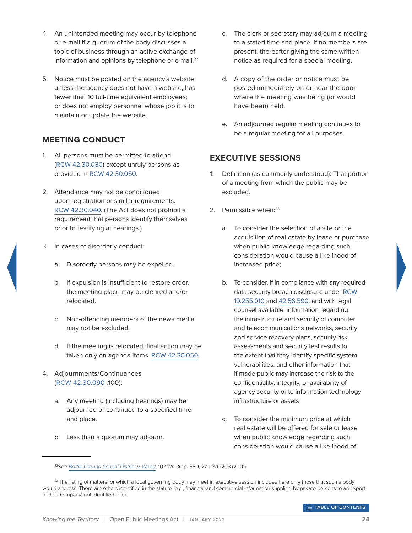- 4. An unintended meeting may occur by telephone or e-mail if a quorum of the body discusses a topic of business through an active exchange of information and opinions by telephone or e-mail.<sup>22</sup>
- 5. Notice must be posted on the agency's website unless the agency does not have a website, has fewer than 10 full-time equivalent employees; or does not employ personnel whose job it is to maintain or update the website.

# <span id="page-28-0"></span>**MEETING CONDUCT**

- 1. All persons must be permitted to attend [\(RCW 42.30.030\)](http://app.leg.wa.gov/rcw/default.aspx?Cite=42.30.030) except unruly persons as provided in [RCW 42.30.050](http://app.leg.wa.gov/rcw/default.aspx?Cite=42.30.050).
- 2. Attendance may not be conditioned upon registration or similar requirements. [RCW 42.30.040.](http://app.leg.wa.gov/rcw/default.aspx?Cite=42.30.040) (The Act does not prohibit a requirement that persons identify themselves prior to testifying at hearings.)
- 3. In cases of disorderly conduct:
	- a. Disorderly persons may be expelled.
	- b. If expulsion is insufficient to restore order, the meeting place may be cleared and/or relocated.
	- c. Non-offending members of the news media may not be excluded.
	- d. If the meeting is relocated, final action may be taken only on agenda items. [RCW 42.30.050](http://app.leg.wa.gov/rcw/default.aspx?Cite=42.30.050).
- 4. Adjournments/Continuances ([RCW 42.30.090-](http://app.leg.wa.gov/rcw/default.aspx?Cite=42.30.090).100):
	- a. Any meeting (including hearings) may be adjourned or continued to a specified time and place.
	- b. Less than a quorum may adjourn.
- c. The clerk or secretary may adjourn a meeting to a stated time and place, if no members are present, thereafter giving the same written notice as required for a special meeting.
- d. A copy of the order or notice must be posted immediately on or near the door where the meeting was being (or would have been) held.
- e. An adjourned regular meeting continues to be a regular meeting for all purposes.

#### <span id="page-28-1"></span>**EXECUTIVE SESSIONS**

- 1. Definition (as commonly understood): That portion of a meeting from which the public may be excluded.
- 2. Permissible when:<sup>23</sup>
	- a. To consider the selection of a site or the acquisition of real estate by lease or purchase when public knowledge regarding such consideration would cause a likelihood of increased price;
	- b. To consider, if in compliance with any required data security breach disclosure under [RCW](http://app.leg.wa.gov/RCW/default.aspx?cite=19.255.010)  [19.255.010](http://app.leg.wa.gov/RCW/default.aspx?cite=19.255.010) and [42.56.590](http://app.leg.wa.gov/RCW/default.aspx?cite=42.56.590), and with legal counsel available, information regarding the infrastructure and security of computer and telecommunications networks, security and service recovery plans, security risk assessments and security test results to the extent that they identify specific system vulnerabilities, and other information that if made public may increase the risk to the confidentiality, integrity, or availability of agency security or to information technology infrastructure or assets
	- c. To consider the minimum price at which real estate will be offered for sale or lease when public knowledge regarding such consideration would cause a likelihood of

<sup>22</sup>See *[Battle Ground School District v. Wood](http://courts.mrsc.org/mc/courts/zappellate/107wnapp/107wnapp0550.htm)*, 107 Wn. App. 550, 27 P.3d 1208 (2001).

 $^{23}$  The listing of matters for which a local governing body may meet in executive session includes here only those that such a body would address. There are others identified in the statute (e.g., financial and commercial information supplied by private persons to an export trading company) not identified here.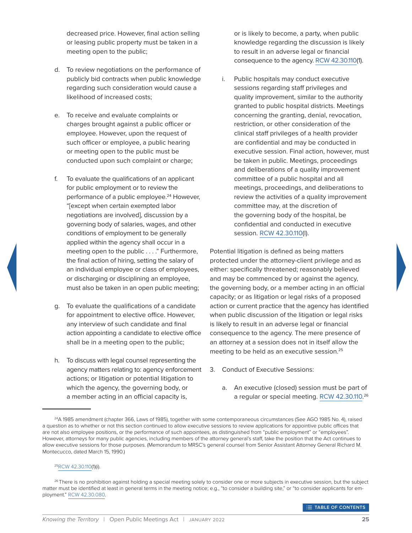decreased price. However, final action selling or leasing public property must be taken in a meeting open to the public;

- d. To review negotiations on the performance of publicly bid contracts when public knowledge regarding such consideration would cause a likelihood of increased costs;
- e. To receive and evaluate complaints or charges brought against a public officer or employee. However, upon the request of such officer or employee, a public hearing or meeting open to the public must be conducted upon such complaint or charge;
- f. To evaluate the qualifications of an applicant for public employment or to review the performance of a public employee.<sup>24</sup> However, "[except when certain exempted labor negotiations are involved], discussion by a governing body of salaries, wages, and other conditions of employment to be generally applied within the agency shall occur in a meeting open to the public . . . ." Furthermore, the final action of hiring, setting the salary of an individual employee or class of employees, or discharging or disciplining an employee, must also be taken in an open public meeting;
- g. To evaluate the qualifications of a candidate for appointment to elective office. However, any interview of such candidate and final action appointing a candidate to elective office shall be in a meeting open to the public;
- h. To discuss with legal counsel representing the agency matters relating to: agency enforcement actions; or litigation or potential litigation to which the agency, the governing body, or a member acting in an official capacity is,

or is likely to become, a party, when public knowledge regarding the discussion is likely to result in an adverse legal or financial consequence to the agency. [RCW 42.30.110](http://app.leg.wa.gov/rcw/default.aspx?Cite=42.30.110)(1).

i. Public hospitals may conduct executive sessions regarding staff privileges and quality improvement, similar to the authority granted to public hospital districts. Meetings concerning the granting, denial, revocation, restriction, or other consideration of the clinical staff privileges of a health provider are confidential and may be conducted in executive session. Final action, however, must be taken in public. Meetings, proceedings and deliberations of a quality improvement committee of a public hospital and all meetings, proceedings, and deliberations to review the activities of a quality improvement committee may, at the discretion of the governing body of the hospital, be confidential and conducted in executive session. [RCW 42.30.110\(](https://app.leg.wa.gov/RCW/default.aspx?cite=42.30.110)l).

Potential litigation is defined as being matters protected under the attorney-client privilege and as either: specifically threatened; reasonably believed and may be commenced by or against the agency, the governing body, or a member acting in an official capacity; or as litigation or legal risks of a proposed action or current practice that the agency has identified when public discussion of the litigation or legal risks is likely to result in an adverse legal or financial consequence to the agency. The mere presence of an attorney at a session does not in itself allow the meeting to be held as an executive session.<sup>25</sup>

- 3. Conduct of Executive Sessions:
	- a. An executive (closed) session must be part of a regular or special meeting. [RCW 42.30.110.](http://app.leg.wa.gov/rcw/default.aspx?Cite=42.30.110) 26

#### 2[5RCW 42.30.110](http://app.leg.wa.gov/rcw/default.aspx?Cite=42.30.110)(1)(i).

<sup>26</sup> There is no prohibition against holding a special meeting solely to consider one or more subjects in executive session, but the subject matter must be identified at least in general terms in the meeting notice; e.g., "to consider a building site," or "to consider applicants for employment." [RCW 42.30.080.](http://app.leg.wa.gov/rcw/default.aspx?Cite=RCW 42.30.080)

<sup>&</sup>lt;sup>24</sup>A 1985 amendment (chapter 366, Laws of 1985), together with some contemporaneous circumstances (See AGO 1985 No. 4), raised a question as to whether or not this section continued to allow executive sessions to review applications for appointive public offices that are not also employee positions, or the performance of such appointees, as distinguished from "public employment" or "employees". However, attorneys for many public agencies, including members of the attorney general's staff, take the position that the Act continues to allow executive sessions for those purposes. (Memorandum to MRSC's general counsel from Senior Assistant Attorney General Richard M. Montecucco, dated March 15, 1990.)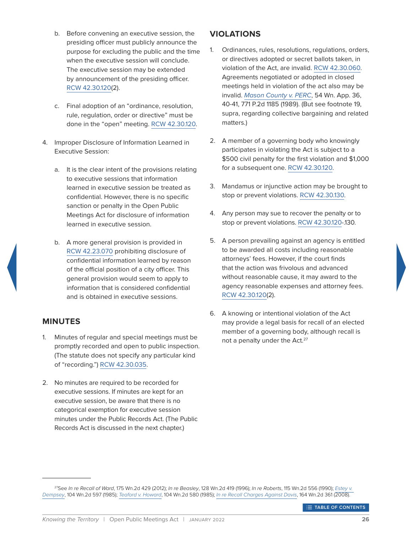- b. Before convening an executive session, the presiding officer must publicly announce the purpose for excluding the public and the time when the executive session will conclude. The executive session may be extended by announcement of the presiding officer. [RCW 42.30.120](http://app.leg.wa.gov/rcw/default.aspx?Cite=RCW 42.30.120)(2).
- c. Final adoption of an "ordinance, resolution, rule, regulation, order or directive" must be done in the "open" meeting. [RCW 42.30.120.](http://app.leg.wa.gov/rcw/default.aspx?Cite=42.30.120)
- 4. Improper Disclosure of Information Learned in Executive Session:
	- a. It is the clear intent of the provisions relating to executive sessions that information learned in executive session be treated as confidential. However, there is no specific sanction or penalty in the Open Public Meetings Act for disclosure of information learned in executive session.
	- b. A more general provision is provided in [RCW 42.23.070](http://app.leg.wa.gov/rcw/default.aspx?Cite=42.23.070) prohibiting disclosure of confidential information learned by reason of the official position of a city officer. This general provision would seem to apply to information that is considered confidential and is obtained in executive sessions.

## <span id="page-30-0"></span>**MINUTES**

- 1. Minutes of regular and special meetings must be promptly recorded and open to public inspection. (The statute does not specify any particular kind of "recording.") [RCW 42.30.035.](https://app.leg.wa.gov/RCW/default.aspx?cite=42.30.035)
- 2. No minutes are required to be recorded for executive sessions. If minutes are kept for an executive session, be aware that there is no categorical exemption for executive session minutes under the Public Records Act. (The Public Records Act is discussed in the next chapter.)

# <span id="page-30-1"></span>**VIOLATIONS**

- 1. Ordinances, rules, resolutions, regulations, orders, or directives adopted or secret ballots taken, in violation of the Act, are invalid. [RCW 42.30.060.](http://app.leg.wa.gov/rcw/default.aspx?Cite=42.30.060) Agreements negotiated or adopted in closed meetings held in violation of the act also may be invalid. *[Mason County v. PERC](http://courts.mrsc.org/mc/courts/zappellate/054wnapp/054wnapp0036.htm)*, 54 Wn. App. 36, 40-41, 771 P.2d 1185 (1989). (But see footnote 19, supra, regarding collective bargaining and related matters.)
- 2. A member of a governing body who knowingly participates in violating the Act is subject to a \$500 civil penalty for the first violation and \$1,000 for a subsequent one. [RCW 42.30.120](http://app.leg.wa.gov/rcw/default.aspx?Cite=42.30.120).
- 3. Mandamus or injunctive action may be brought to stop or prevent violations. [RCW 42.30.130.](http://app.leg.wa.gov/rcw/default.aspx?Cite=42.30.130)
- 4. Any person may sue to recover the penalty or to stop or prevent violations. [RCW 42.30.120](http://app.leg.wa.gov/rcw/default.aspx?Cite=42.30.120)-.130.
- 5. A person prevailing against an agency is entitled to be awarded all costs including reasonable attorneys' fees. However, if the court finds that the action was frivolous and advanced without reasonable cause, it may award to the agency reasonable expenses and attorney fees. [RCW 42.30.120](http://app.leg.wa.gov/rcw/default.aspx?Cite=42.30.120)(2).
- 6. A knowing or intentional violation of the Act may provide a legal basis for recall of an elected member of a governing body, although recall is not a penalty under the Act.<sup>27</sup>

<sup>27</sup>See *In re Recall of Ward*, 175 Wn.2d 429 (2012); *In re Beasley*, 128 Wn.2d 419 (1996); *In re Roberts*, 115 Wn.2d 556 (1990); *[Estey v.](http://courts.mrsc.org/mc/courts/zsupreme/104wn2d/104wn2d0597.htm)  [Dempsey](http://courts.mrsc.org/mc/courts/zsupreme/104wn2d/104wn2d0597.htm)*, 104 Wn.2d 597 (1985); *[Teaford v. Howard](http://courts.mrsc.org/mc/courts/zsupreme/104wn2d/104wn2d0580.htm)*, 104 Wn.2d 580 (1985); *[In re Recall Charges Against Davis](http://courts.mrsc.org/mc/courts/zsupreme/164wn2d/164wn2d0361.htm)*, 164 Wn.2d 361 (2008).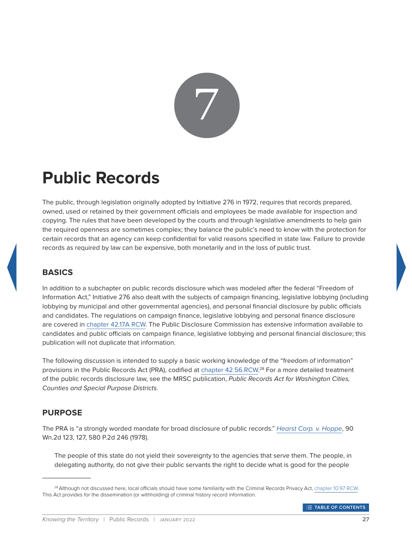

# <span id="page-31-0"></span>**Public Records**

The public, through legislation originally adopted by Initiative 276 in 1972, requires that records prepared, owned, used or retained by their government officials and employees be made available for inspection and copying. The rules that have been developed by the courts and through legislative amendments to help gain the required openness are sometimes complex; they balance the public's need to know with the protection for certain records that an agency can keep confidential for valid reasons specified in state law. Failure to provide records as required by law can be expensive, both monetarily and in the loss of public trust.

# <span id="page-31-1"></span>**BASICS**

In addition to a subchapter on public records disclosure which was modeled after the federal "Freedom of Information Act," Initiative 276 also dealt with the subjects of campaign financing, legislative lobbying (including lobbying by municipal and other governmental agencies), and personal financial disclosure by public officials and candidates. The regulations on campaign finance, legislative lobbying and personal finance disclosure are covered in [chapter 42.17A RCW](http://app.leg.wa.gov/rcw/default.aspx?Cite=42.17A). The Public Disclosure Commission has extensive information available to candidates and public officials on campaign finance, legislative lobbying and personal financial disclosure; this publication will not duplicate that information.

The following discussion is intended to supply a basic working knowledge of the "freedom of information" provisions in the Public Records Act (PRA), codified at [chapter 42.56.RCW.](http://app.leg.wa.gov/rcw/default.aspx?Cite=42.56)<sup>28</sup> For a more detailed treatment of the public records disclosure law, see the MRSC publication, *Public Records Act for Washington Cities, Counties and Special Purpose Districts*.

# <span id="page-31-2"></span>**PURPOSE**

The PRA is "a strongly worded mandate for broad disclosure of public records." *[Hearst Corp. v. Hoppe](http://courts.mrsc.org/mc/courts/zsupreme/090wn2d/090wn2d0123.htm)*, 90 Wn.2d 123, 127, 580 P.2d 246 (1978).

The people of this state do not yield their sovereignty to the agencies that serve them. The people, in delegating authority, do not give their public servants the right to decide what is good for the people

<sup>&</sup>lt;sup>28</sup> Although not discussed here, local officials should have some familiarity with the Criminal Records Privacy Act, [chapter 10.97 RCW.](http://app.leg.wa.gov/rcw/default.aspx?Cite=10.97) This Act provides for the dissemination (or withholding) of criminal history record information.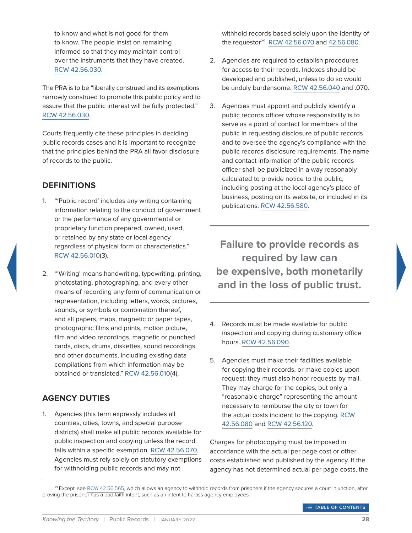to know and what is not good for them to know. The people insist on remaining informed so that they may maintain control over the instruments that they have created. [RCW 42.56.030](http://app.leg.wa.gov/rcw/default.aspx?Cite=42.56.030).

The PRA is to be "liberally construed and its exemptions narrowly construed to promote this public policy and to assure that the public interest will be fully protected." [RCW 42.56.030](http://app.leg.wa.gov/rcw/default.aspx?Cite=42.56.030).

Courts frequently cite these principles in deciding public records cases and it is important to recognize that the principles behind the PRA all favor disclosure of records to the public.

## <span id="page-32-0"></span>**DEFINITIONS**

- 1. "'Public record' includes any writing containing information relating to the conduct of government or the performance of any governmental or proprietary function prepared, owned, used, or retained by any state or local agency regardless of physical form or characteristics." [RCW 42.56.010](http://app.leg.wa.gov/rcw/default.aspx?Cite=42.56.010)(3).
- 2. "'Writing' means handwriting, typewriting, printing, photostating, photographing, and every other means of recording any form of communication or representation, including letters, words, pictures, sounds, or symbols or combination thereof, and all papers, maps, magnetic or paper tapes, photographic films and prints, motion picture, film and video recordings, magnetic or punched cards, discs, drums, diskettes, sound recordings, and other documents, including existing data compilations from which information may be obtained or translated." [RCW 42.56.010](http://app.leg.wa.gov/rcw/default.aspx?cite=42.56.010)(4).

## <span id="page-32-1"></span>**AGENCY DUTIES**

1. Agencies (this term expressly includes all counties, cities, towns, and special purpose districts) shall make all public records available for public inspection and copying unless the record falls within a specific exemption. [RCW 42.56.070.](http://app.leg.wa.gov/rcw/default.aspx?cite=42.56.070) Agencies must rely solely on statutory exemptions for withholding public records and may not

withhold records based solely upon the identity of the requestor<sup>29</sup>. [RCW 42.56.070](http://app.leg.wa.gov/rcw/default.aspx?cite=42.56.070) and [42.56.080.](http://app.leg.wa.gov/rcw/default.aspx?cite=42.56.080)

- 2. Agencies are required to establish procedures for access to their records. Indexes should be developed and published, unless to do so would be unduly burdensome. [RCW 42.56.040](http://app.leg.wa.gov/rcw/default.aspx?cite=42.56.040) and .070.
- 3. Agencies must appoint and publicly identify a public records officer whose responsibility is to serve as a point of contact for members of the public in requesting disclosure of public records and to oversee the agency's compliance with the public records disclosure requirements. The name and contact information of the public records officer shall be publicized in a way reasonably calculated to provide notice to the public, including posting at the local agency's place of business, posting on its website, or included in its publications. [RCW 42.56.580](http://app.leg.wa.gov/rcw/default.aspx?cite=42.56.580).

**Failure to provide records as required by law can be expensive, both monetarily and in the loss of public trust.**

- 4. Records must be made available for public inspection and copying during customary office hours. [RCW 42.56.090](http://app.leg.wa.gov/rcw/default.aspx?cite=42.56.090).
- 5. Agencies must make their facilities available for copying their records, or make copies upon request; they must also honor requests by mail. They may charge for the copies, but only a "reasonable charge" representing the amount necessary to reimburse the city or town for the actual costs incident to the copying. [RCW](http://app.leg.wa.gov/rcw/default.aspx?cite=42.56.080)  [42.56.080](http://app.leg.wa.gov/rcw/default.aspx?cite=42.56.080) and [RCW 42.56.120.](http://app.leg.wa.gov/rcw/default.aspx?cite=42.56.120)

Charges for photocopying must be imposed in accordance with the actual per page cost or other costs established and published by the agency. If the agency has not determined actual per page costs, the

<sup>&</sup>lt;sup>29</sup> Except, see [RCW 42.56.565,](http://app.leg.wa.gov/rcw/default.aspx?cite=42.56.565) which allows an agency to withhold records from prisoners if the agency secures a court injunction, after proving the prisoner has a bad faith intent, such as an intent to harass agency employees.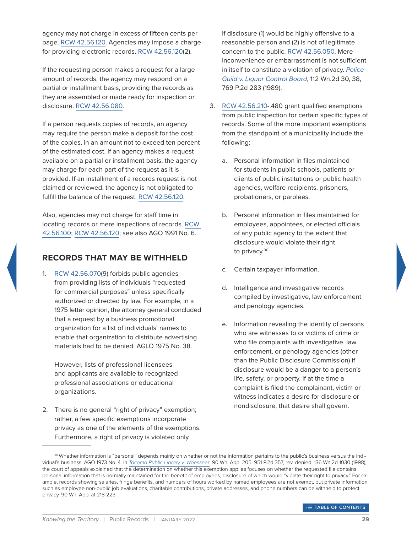agency may not charge in excess of fifteen cents per page. [RCW 42.56.120.](http://app.leg.wa.gov/rcw/default.aspx?cite=42.56.120) Agencies may impose a charge for providing electronic records. [RCW 42.56.120\(](https://app.leg.wa.gov/rcw/default.aspx?cite=42.56.120)2).

If the requesting person makes a request for a large amount of records, the agency may respond on a partial or installment basis, providing the records as they are assembled or made ready for inspection or disclosure. [RCW 42.56.080](http://app.leg.wa.gov/rcw/default.aspx?cite=42.56.080).

If a person requests copies of records, an agency may require the person make a deposit for the cost of the copies, in an amount not to exceed ten percent of the estimated cost. If an agency makes a request available on a partial or installment basis, the agency may charge for each part of the request as it is provided. If an installment of a records request is not claimed or reviewed, the agency is not obligated to fulfill the balance of the request. [RCW 42.56.120](http://app.leg.wa.gov/rcw/default.aspx?cite=42.56.120).

Also, agencies may not charge for staff time in locating records or mere inspections of records. [RCW](http://app.leg.wa.gov/rcw/default.aspx?cite=42.56.100)  [42.56.100;](http://app.leg.wa.gov/rcw/default.aspx?cite=42.56.100) [RCW 42.56.120](http://app.leg.wa.gov/rcw/default.aspx?cite=42.56.120); see also AGO 1991 No. 6.

#### <span id="page-33-0"></span>**RECORDS THAT MAY BE WITHHELD**

1. [RCW 42.56.070](http://app.leg.wa.gov/rcw/default.aspx?cite=42.56.070)(9) forbids public agencies from providing lists of individuals "requested for commercial purposes" unless specifically authorized or directed by law. For example, in a 1975 letter opinion, the attorney general concluded that a request by a business promotional organization for a list of individuals' names to enable that organization to distribute advertising materials had to be denied. AGLO 1975 No. 38.

However, lists of professional licensees and applicants are available to recognized professional associations or educational organizations.

2. There is no general "right of privacy" exemption; rather, a few specific exemptions incorporate privacy as one of the elements of the exemptions. Furthermore, a right of privacy is violated only

if disclosure (1) would be highly offensive to a reasonable person and (2) is not of legitimate concern to the public. [RCW 42.56.050](http://app.leg.wa.gov/rcw/default.aspx?cite=42.56.050). Mere inconvenience or embarrassment is not sufficient in itself to constitute a violation of privacy. *[Police](http://courts.mrsc.org/mc/courts/zsupreme/112wn2d/112wn2d0030.htm)  [Guild v. Liquor Control Board](http://courts.mrsc.org/mc/courts/zsupreme/112wn2d/112wn2d0030.htm)*, 112 Wn.2d 30, 38, 769 P.2d 283 (1989).

- 3. [RCW 42.56.210-](http://app.leg.wa.gov/rcw/default.aspx?cite=42.56.210).480 grant qualified exemptions from public inspection for certain specific types of records. Some of the more important exemptions from the standpoint of a municipality include the following:
	- a. Personal information in files maintained for students in public schools, patients or clients of public institutions or public health agencies, welfare recipients, prisoners, probationers, or parolees.
	- b. Personal information in files maintained for employees, appointees, or elected officials of any public agency to the extent that disclosure would violate their right to privacy.<sup>30</sup>
	- c. Certain taxpayer information.
	- d. Intelligence and investigative records compiled by investigative, law enforcement and penology agencies.
	- e. Information revealing the identity of persons who are witnesses to or victims of crime or who file complaints with investigative, law enforcement, or penology agencies (other than the Public Disclosure Commission) if disclosure would be a danger to a person's life, safety, or property. If at the time a complaint is filed the complainant, victim or witness indicates a desire for disclosure or nondisclosure, that desire shall govern.

<sup>30</sup> Whether information is "personal" depends mainly on whether or not the information pertains to the public's business versus the individual's business. AGO 1973 No. 4. In *[Tacoma Public Library v. Woessner](http://courts.mrsc.org/mc/courts/zappellate/090wnapp/090wnapp0205.htm)*, 90 Wn. App. 205, 951 P.2d 357, rev. denied, 136 Wn.2d 1030 (1998), the court of appeals explained that the determination on whether this exemption applies focuses on whether the requested file contains personal information that is normally maintained for the benefit of employees, disclosure of which would "violate their right to privacy." For example, records showing salaries, fringe benefits, and numbers of hours worked by named employees are not exempt, but private information such as employee non-public job evaluations, charitable contributions, private addresses, and phone numbers can be withheld to protect privacy. 90 Wn. App. at 218-223.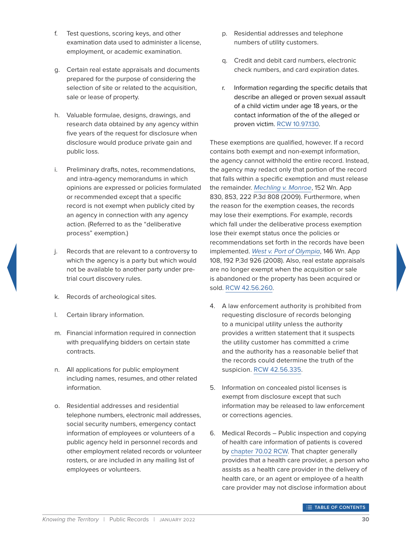- f. Test questions, scoring keys, and other examination data used to administer a license, employment, or academic examination.
- g. Certain real estate appraisals and documents prepared for the purpose of considering the selection of site or related to the acquisition, sale or lease of property.
- h. Valuable formulae, designs, drawings, and research data obtained by any agency within five years of the request for disclosure when disclosure would produce private gain and public loss.
- i. Preliminary drafts, notes, recommendations, and intra-agency memorandums in which opinions are expressed or policies formulated or recommended except that a specific record is not exempt when publicly cited by an agency in connection with any agency action. (Referred to as the "deliberative process" exemption.)
- j. Records that are relevant to a controversy to which the agency is a party but which would not be available to another party under pretrial court discovery rules.
- k. Records of archeological sites.
- l. Certain library information.
- m. Financial information required in connection with prequalifying bidders on certain state contracts.
- n. All applications for public employment including names, resumes, and other related information.
- o. Residential addresses and residential telephone numbers, electronic mail addresses, social security numbers, emergency contact information of employees or volunteers of a public agency held in personnel records and other employment related records or volunteer rosters, or are included in any mailing list of employees or volunteers.
- p. Residential addresses and telephone numbers of utility customers.
- q. Credit and debit card numbers, electronic check numbers, and card expiration dates.
- r. Information regarding the specific details that describe an alleged or proven sexual assault of a child victim under age 18 years, or the contact information of the of the alleged or proven victim. [RCW 10.97.130.](https://apps.leg.wa.gov/rcw/default.aspx?cite=10.97.130)

These exemptions are qualified, however. If a record contains both exempt and non-exempt information, the agency cannot withhold the entire record. Instead, the agency may redact only that portion of the record that falls within a specific exemption and must release the remainder. *[Mechling v. Monroe](http://courts.mrsc.org/mc/courts/zappellate/152wnapp/152wnapp0830.htm)*, 152 Wn. App 830, 853, 222 P.3d 808 (2009). Furthermore, when the reason for the exemption ceases, the records may lose their exemptions. For example, records which fall under the deliberative process exemption lose their exempt status once the policies or recommendations set forth in the records have been implemented. *[West v. Port of Olympia](http://courts.mrsc.org/mc/courts/zappellate/146wnapp/146wnapp0108.htm)*, 146 Wn. App 108, 192 P.3d 926 (2008). Also, real estate appraisals are no longer exempt when the acquisition or sale is abandoned or the property has been acquired or sold. [RCW 42.56.260.](http://app.leg.wa.gov/rcw/default.aspx?cite=42.56.260)

- 4. A law enforcement authority is prohibited from requesting disclosure of records belonging to a municipal utility unless the authority provides a written statement that it suspects the utility customer has committed a crime and the authority has a reasonable belief that the records could determine the truth of the suspicion. [RCW 42.56.335.](http://app.leg.wa.gov/rcw/default.aspx?cite=42.56.335)
- 5. Information on concealed pistol licenses is exempt from disclosure except that such information may be released to law enforcement or corrections agencies.
- 6. Medical Records Public inspection and copying of health care information of patients is covered by [chapter 70.02 RCW.](http://app.leg.wa.gov/rcw/default.aspx?cite=70.02) That chapter generally provides that a health care provider, a person who assists as a health care provider in the delivery of health care, or an agent or employee of a health care provider may not disclose information about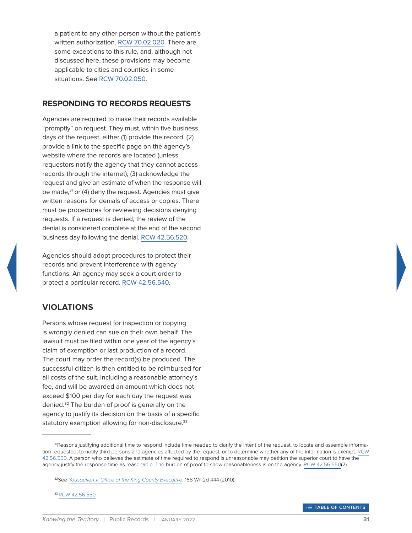a patient to any other person without the patient's written authorization. [RCW 70.02.020](http://app.leg.wa.gov/rcw/default.aspx?cite=70.02.020). There are some exceptions to this rule, and, although not discussed here, these provisions may become applicable to cities and counties in some situations. See [RCW 70.02.050](http://app.leg.wa.gov/rcw/default.aspx?cite=70.02.050).

## <span id="page-35-0"></span>**RESPONDING TO RECORDS REQUESTS**

Agencies are required to make their records available "promptly" on request. They must, within five business days of the request, either (1) provide the record, (2) provide a link to the specific page on the agency's website where the records are located (unless requestors notify the agency that they cannot access records through the internet), (3) acknowledge the request and give an estimate of when the response will be made,<sup>31</sup> or (4) deny the request. Agencies must give written reasons for denials of access or copies. There must be procedures for reviewing decisions denying requests. If a request is denied, the review of the denial is considered complete at the end of the second business day following the denial. [RCW 42.56.520](https://app.leg.wa.gov/RCW/default.aspx?cite=42.56.520).

Agencies should adopt procedures to protect their records and prevent interference with agency functions. An agency may seek a court order to protect a particular record. [RCW 42.56.540](https://app.leg.wa.gov/RCW/default.aspx?cite=42.56.540).

# <span id="page-35-1"></span>**VIOLATIONS**

Persons whose request for inspection or copying is wrongly denied can sue on their own behalf. The lawsuit must be filed within one year of the agency's claim of exemption or last production of a record. The court may order the record(s) be produced. The successful citizen is then entitled to be reimbursed for all costs of the suit, including a reasonable attorney's fee, and will be awarded an amount which does not exceed \$100 per day for each day the request was denied.<sup>32</sup> The burden of proof is generally on the agency to justify its decision on the basis of a specific statutory exemption allowing for non-disclosure.<sup>33</sup>

33 [RCW 42.56.550](http://app.leg.wa.gov/rcw/default.aspx?cite=42.56.550).

<sup>&</sup>lt;sup>31</sup>Reasons justifying additional time to respond include time needed to clarify the intent of the request, to locate and assemble information requested, to notify third persons and agencies affected by the request, or to determine whether any of the information is exempt. [RCW](http://app.leg.wa.gov/rcw/default.aspx?cite=42.56.550)  [42.56.550](http://app.leg.wa.gov/rcw/default.aspx?cite=42.56.550). A person who believes the estimate of time required to respond is unreasonable may petition the superior court to have the agency justify the response time as reasonable. The burden of proof to show reasonableness is on the agency. [RCW 42.56.550](http://app.leg.wa.gov/rcw/default.aspx?cite=42.56.550)(2).

<sup>32</sup>See *[Yousoufian v. Office of the King County Executive](http://courts.mrsc.org/mc/courts/zsupreme/168wn2d/168wn2d0444.htm)*, 168 Wn.2d 444 (2010).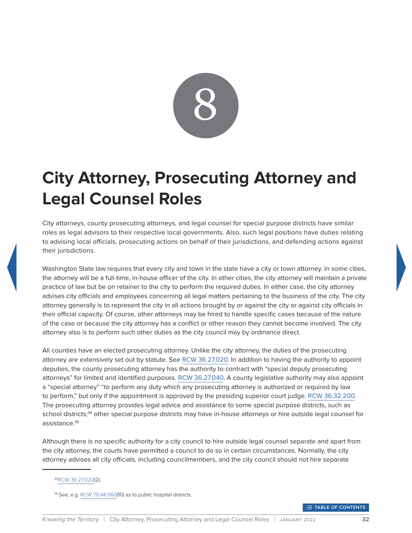

# <span id="page-36-0"></span>**City Attorney, Prosecuting Attorney and Legal Counsel Roles**

City attorneys, county prosecuting attorneys, and legal counsel for special purpose districts have similar roles as legal advisors to their respective local governments. Also, such legal positions have duties relating to advising local officials, prosecuting actions on behalf of their jurisdictions, and defending actions against their jurisdictions.

Washington State law requires that every city and town in the state have a city or town attorney. In some cities, the attorney will be a full-time, in-house officer of the city. In other cities, the city attorney will maintain a private practice of law but be on retainer to the city to perform the required duties. In either case, the city attorney advises city officials and employees concerning all legal matters pertaining to the business of the city. The city attorney generally is to represent the city in all actions brought by or against the city or against city officials in their official capacity. Of course, other attorneys may be hired to handle specific cases because of the nature of the case or because the city attorney has a conflict or other reason they cannot become involved. The city attorney also is to perform such other duties as the city council may by ordinance direct.

All counties have an elected prosecuting attorney. Unlike the city attorney, the duties of the prosecuting attorney are extensively set out by statute. See [RCW 36.27.020.](http://app.leg.wa.gov/rcw/default.aspx?cite=36.27.020) In addition to having the authority to appoint deputies, the county prosecuting attorney has the authority to contract with "special deputy prosecuting attorneys" for limited and identified purposes. [RCW 36.27.040](http://app.leg.wa.gov/rcw/default.aspx?cite=36.27.040). A county legislative authority may also appoint a "special attorney" "to perform any duty which any prosecuting attorney is authorized or required by law to perform," but only if the appointment is approved by the presiding superior court judge. [RCW 36.32.200](http://app.leg.wa.gov/rcw/default.aspx?cite=36.32.200). The prosecuting attorney provides legal advice and assistance to some special purpose districts, such as school districts;<sup>34</sup> other special purpose districts may have in-house attorneys or hire outside legal counsel for assistance.<sup>35</sup>

Although there is no specific authority for a city council to hire outside legal counsel separate and apart from the city attorney, the courts have permitted a council to do so in certain circumstances. Normally, the city attorney advises all city officials, including councilmembers, and the city council should not hire separate

**THE TABLE OF CONTENTS** 

<sup>3</sup>[4RCW 36.27.020\(](http://app.leg.wa.gov/rcw/default.aspx?cite=36.27.020)2).

<sup>35</sup> See, e.g. [RCW 70.44.060\(](http://app.leg.wa.gov/rcw/default.aspx?cite=70.44.060)10) as to public hospital districts.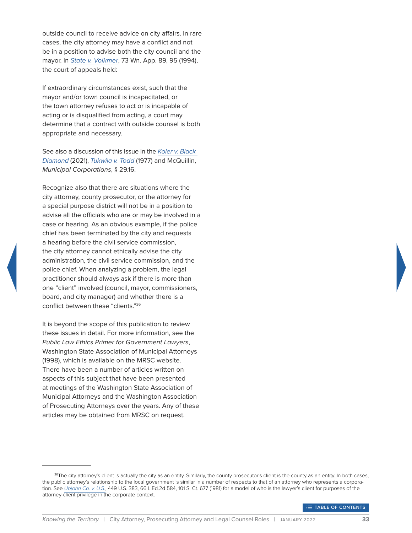outside council to receive advice on city affairs. In rare cases, the city attorney may have a conflict and not be in a position to advise both the city council and the mayor. In *[State v. Volkmer](http://courts.mrsc.org/mc/courts/zappellate/073wnapp/073wnapp0089.htm)*, 73 Wn. App. 89, 95 (1994), the court of appeals held:

If extraordinary circumstances exist, such that the mayor and/or town council is incapacitated, or the town attorney refuses to act or is incapable of acting or is disqualified from acting, a court may determine that a contract with outside counsel is both appropriate and necessary.

See also a discussion of this issue in the *[Koler v. Black](https://scholar.google.com/scholar_case?case=1597842461942789313&q=koler+v+black+diamond&hl=en&as_sdt=6,48)  [Diamond](https://scholar.google.com/scholar_case?case=1597842461942789313&q=koler+v+black+diamond&hl=en&as_sdt=6,48)* (2021), *[Tukwila v. Todd](http://courts.mrsc.org/mc/courts/zappellate/017wnapp/017wnapp0401.htm)* (1977) and McQuillin, *Municipal Corporations*, § 29.16.

Recognize also that there are situations where the city attorney, county prosecutor, or the attorney for a special purpose district will not be in a position to advise all the officials who are or may be involved in a case or hearing. As an obvious example, if the police chief has been terminated by the city and requests a hearing before the civil service commission, the city attorney cannot ethically advise the city administration, the civil service commission, and the police chief. When analyzing a problem, the legal practitioner should always ask if there is more than one "client" involved (council, mayor, commissioners, board, and city manager) and whether there is a conflict between these "clients."36

It is beyond the scope of this publication to review these issues in detail. For more information, see the *Public Law Ethics Primer for Government Lawyers*, Washington State Association of Municipal Attorneys (1998), which is available on the MRSC website. There have been a number of articles written on aspects of this subject that have been presented at meetings of the Washington State Association of Municipal Attorneys and the Washington Association of Prosecuting Attorneys over the years. Any of these articles may be obtained from MRSC on request.



**THABLE OF CONTENTS** 

<sup>&</sup>lt;sup>36</sup>The city attorney's client is actually the city as an entity. Similarly, the county prosecutor's client is the county as an entity. In both cases, the public attorney's relationship to the local government is similar in a number of respects to that of an attorney who represents a corporation. See *[Upjohn Co. v. U.S.](http://scholar.google.com/scholar_case?case=5153750416071396937&hl=en&as_sdt=6&as_vis=1&oi=scholarr)*, 449 U.S. 383, 66 L.Ed.2d 584, 101 S. Ct. 677 (1981) for a model of who is the lawyer's client for purposes of the attorney-client privilege in the corporate context.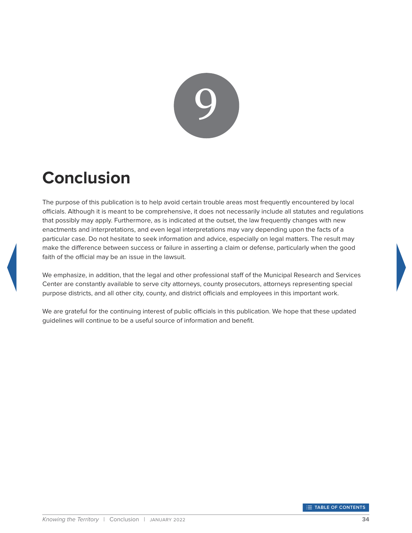

# <span id="page-38-0"></span>**Conclusion**

The purpose of this publication is to help avoid certain trouble areas most frequently encountered by local officials. Although it is meant to be comprehensive, it does not necessarily include all statutes and regulations that possibly may apply. Furthermore, as is indicated at the outset, the law frequently changes with new enactments and interpretations, and even legal interpretations may vary depending upon the facts of a particular case. Do not hesitate to seek information and advice, especially on legal matters. The result may make the difference between success or failure in asserting a claim or defense, particularly when the good faith of the official may be an issue in the lawsuit.

We emphasize, in addition, that the legal and other professional staff of the Municipal Research and Services Center are constantly available to serve city attorneys, county prosecutors, attorneys representing special purpose districts, and all other city, county, and district officials and employees in this important work.

We are grateful for the continuing interest of public officials in this publication. We hope that these updated guidelines will continue to be a useful source of information and benefit.